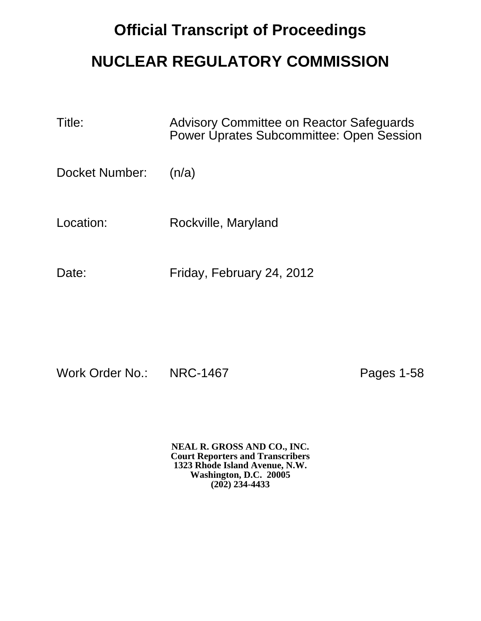## **Official Transcript of Proceedings NUCLEAR REGULATORY COMMISSION**

| Title:         | Advisory Committee on Reactor Safeguards<br><b>Power Uprates Subcommittee: Open Session</b> |
|----------------|---------------------------------------------------------------------------------------------|
| Docket Number: | (n/a)                                                                                       |
| Location:      | Rockville, Maryland                                                                         |
| Date:          | Friday, February 24, 2012                                                                   |

Work Order No.: NRC-1467 Pages 1-58

**NEAL R. GROSS AND CO., INC. Court Reporters and Transcribers 1323 Rhode Island Avenue, N.W. Washington, D.C. 20005 (202) 234-4433**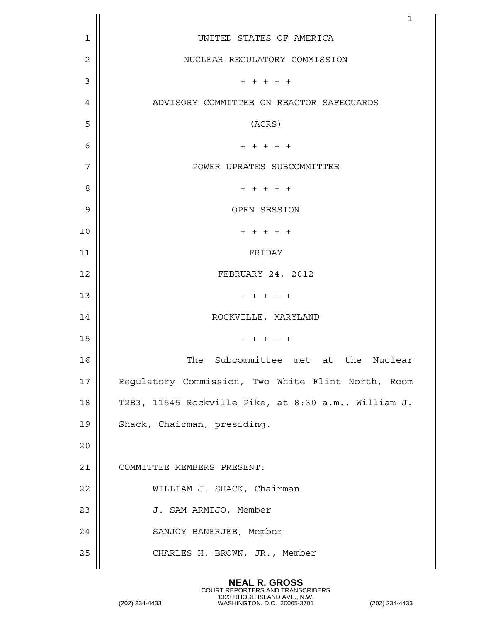|                | $\mathbf{1}$                                         |
|----------------|------------------------------------------------------|
| 1              | UNITED STATES OF AMERICA                             |
| $\overline{2}$ | NUCLEAR REGULATORY COMMISSION                        |
| 3              | $+ + + + + +$                                        |
| 4              | ADVISORY COMMITTEE ON REACTOR SAFEGUARDS             |
| 5              | (ACRS)                                               |
| 6              | $+ + + + + +$                                        |
| 7              | POWER UPRATES SUBCOMMITTEE                           |
| 8              | $+ + + + +$                                          |
| 9              | OPEN SESSION                                         |
| 10             | $+ + + + + +$                                        |
| 11             | FRIDAY                                               |
| 12             | FEBRUARY 24, 2012                                    |
| 13             | $+ + + + + +$                                        |
| 14             | ROCKVILLE, MARYLAND                                  |
| 15             | $+ + + + +$                                          |
| 16             | The<br>Subcommittee met at the Nuclear               |
| 17             | Regulatory Commission, Two White Flint North, Room   |
| 18             | T2B3, 11545 Rockville Pike, at 8:30 a.m., William J. |
| 19             | Shack, Chairman, presiding.                          |
| 20             |                                                      |
| 21             | COMMITTEE MEMBERS PRESENT:                           |
| 22             | WILLIAM J. SHACK, Chairman                           |
| 23             | J. SAM ARMIJO, Member                                |
| 24             | SANJOY BANERJEE, Member                              |
| 25             | CHARLES H. BROWN, JR., Member                        |
|                |                                                      |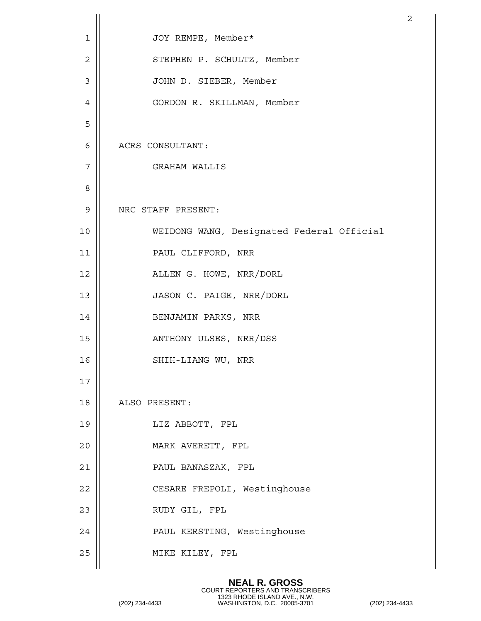|                |                                           | $\overline{a}$ |
|----------------|-------------------------------------------|----------------|
| $\mathbf 1$    | JOY REMPE, Member*                        |                |
| $\overline{2}$ | STEPHEN P. SCHULTZ, Member                |                |
| $\mathfrak{Z}$ | JOHN D. SIEBER, Member                    |                |
| 4              | GORDON R. SKILLMAN, Member                |                |
| 5              |                                           |                |
| 6              | ACRS CONSULTANT:                          |                |
| 7              | GRAHAM WALLIS                             |                |
| 8              |                                           |                |
| 9              | NRC STAFF PRESENT:                        |                |
| 10             | WEIDONG WANG, Designated Federal Official |                |
| 11             | PAUL CLIFFORD, NRR                        |                |
| 12             | ALLEN G. HOWE, NRR/DORL                   |                |
| 13             | JASON C. PAIGE, NRR/DORL                  |                |
| 14             | BENJAMIN PARKS, NRR                       |                |
| 15             | ANTHONY ULSES, NRR/DSS                    |                |
| 16             | SHIH-LIANG WU, NRR                        |                |
| 17             |                                           |                |
| 18             | ALSO PRESENT:                             |                |
| 19             | LIZ ABBOTT, FPL                           |                |
| 20             | MARK AVERETT, FPL                         |                |
| 21             | PAUL BANASZAK, FPL                        |                |
| 22             | CESARE FREPOLI, Westinghouse              |                |
| 23             | RUDY GIL, FPL                             |                |
| 24             | PAUL KERSTING, Westinghouse               |                |
| 25             | MIKE KILEY, FPL                           |                |
|                |                                           |                |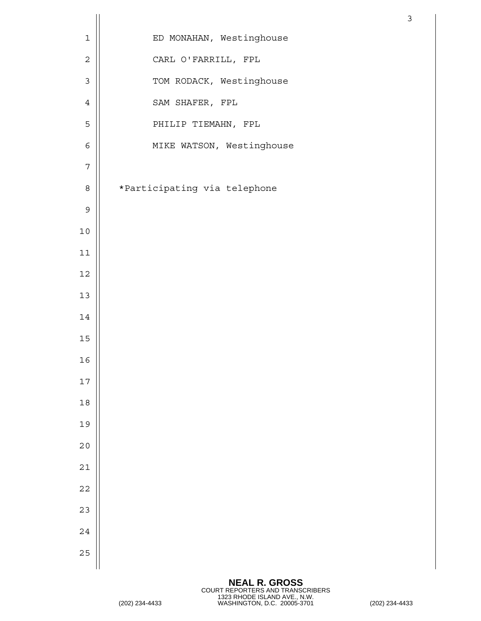|             |                              | $\mathfrak{Z}$ |
|-------------|------------------------------|----------------|
| $\mathbf 1$ | ED MONAHAN, Westinghouse     |                |
| $\sqrt{2}$  | CARL O'FARRILL, FPL          |                |
| $\mathsf 3$ | TOM RODACK, Westinghouse     |                |
| $\sqrt{4}$  | SAM SHAFER, FPL              |                |
| 5           | PHILIP TIEMAHN, FPL          |                |
| $\epsilon$  | MIKE WATSON, Westinghouse    |                |
| $\sqrt{ }$  |                              |                |
| $\,8\,$     | *Participating via telephone |                |
| $\mathsf 9$ |                              |                |
| $10$        |                              |                |
| $11\,$      |                              |                |
| $12\,$      |                              |                |
| $13$        |                              |                |
| $14\,$      |                              |                |
| 15          |                              |                |
| 16          |                              |                |
| 17          |                              |                |
| $18$        |                              |                |
| 19          |                              |                |
| 20          |                              |                |
| 21          |                              |                |
| 22          |                              |                |
| 23          |                              |                |
| 24          |                              |                |
| 25          |                              |                |
|             |                              |                |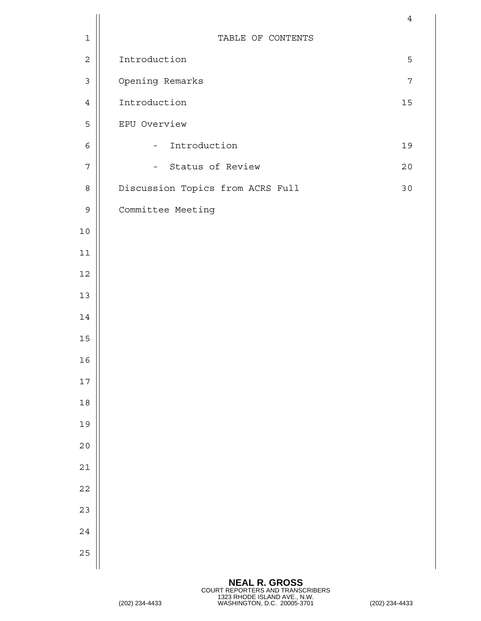| TABLE OF CONTENTS<br>$\mathbf 1$<br>Introduction<br>$\mathbf 2$<br>5<br>Opening Remarks<br>$\mathfrak{Z}$<br>$\overline{7}$<br>Introduction<br>15<br>$\overline{4}$<br>EPU Overview<br>5<br>Introduction<br>19<br>6<br>$\equiv$<br>Status of Review<br>$\overline{7}$<br>20<br>$\qquad \qquad -$<br>Discussion Topics from ACRS Full<br>30<br>8<br>Committee Meeting<br>$\mathsf 9$<br>$10$<br>11<br>$12\,$<br>13<br>14<br>15<br>16<br>$17\,$<br>$18\,$<br>19<br>20<br>21<br>22<br>23<br>24<br>25 |  | $\overline{4}$ |
|---------------------------------------------------------------------------------------------------------------------------------------------------------------------------------------------------------------------------------------------------------------------------------------------------------------------------------------------------------------------------------------------------------------------------------------------------------------------------------------------------|--|----------------|
|                                                                                                                                                                                                                                                                                                                                                                                                                                                                                                   |  |                |
|                                                                                                                                                                                                                                                                                                                                                                                                                                                                                                   |  |                |
|                                                                                                                                                                                                                                                                                                                                                                                                                                                                                                   |  |                |
|                                                                                                                                                                                                                                                                                                                                                                                                                                                                                                   |  |                |
|                                                                                                                                                                                                                                                                                                                                                                                                                                                                                                   |  |                |
|                                                                                                                                                                                                                                                                                                                                                                                                                                                                                                   |  |                |
|                                                                                                                                                                                                                                                                                                                                                                                                                                                                                                   |  |                |
|                                                                                                                                                                                                                                                                                                                                                                                                                                                                                                   |  |                |
|                                                                                                                                                                                                                                                                                                                                                                                                                                                                                                   |  |                |
|                                                                                                                                                                                                                                                                                                                                                                                                                                                                                                   |  |                |
|                                                                                                                                                                                                                                                                                                                                                                                                                                                                                                   |  |                |
|                                                                                                                                                                                                                                                                                                                                                                                                                                                                                                   |  |                |
|                                                                                                                                                                                                                                                                                                                                                                                                                                                                                                   |  |                |
|                                                                                                                                                                                                                                                                                                                                                                                                                                                                                                   |  |                |
|                                                                                                                                                                                                                                                                                                                                                                                                                                                                                                   |  |                |
|                                                                                                                                                                                                                                                                                                                                                                                                                                                                                                   |  |                |
|                                                                                                                                                                                                                                                                                                                                                                                                                                                                                                   |  |                |
|                                                                                                                                                                                                                                                                                                                                                                                                                                                                                                   |  |                |
|                                                                                                                                                                                                                                                                                                                                                                                                                                                                                                   |  |                |
|                                                                                                                                                                                                                                                                                                                                                                                                                                                                                                   |  |                |
|                                                                                                                                                                                                                                                                                                                                                                                                                                                                                                   |  |                |
|                                                                                                                                                                                                                                                                                                                                                                                                                                                                                                   |  |                |
|                                                                                                                                                                                                                                                                                                                                                                                                                                                                                                   |  |                |
|                                                                                                                                                                                                                                                                                                                                                                                                                                                                                                   |  |                |
|                                                                                                                                                                                                                                                                                                                                                                                                                                                                                                   |  |                |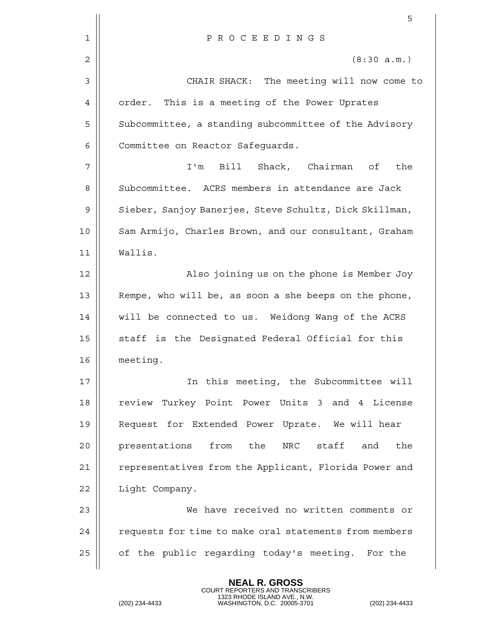|    | 5                                                      |
|----|--------------------------------------------------------|
| 1  | PROCEEDINGS                                            |
| 2  | (8:30 a.m.)                                            |
| 3  | CHAIR SHACK: The meeting will now come to              |
| 4  | order.<br>This is a meeting of the Power Uprates       |
| 5  | Subcommittee, a standing subcommittee of the Advisory  |
| 6  | Committee on Reactor Safeguards.                       |
| 7  | I'm Bill Shack, Chairman of<br>the                     |
| 8  | Subcommittee. ACRS members in attendance are Jack      |
| 9  | Sieber, Sanjoy Banerjee, Steve Schultz, Dick Skillman, |
| 10 | Sam Armijo, Charles Brown, and our consultant, Graham  |
| 11 | Wallis.                                                |
| 12 | Also joining us on the phone is Member Joy             |
| 13 | Rempe, who will be, as soon a she beeps on the phone,  |
| 14 | will be connected to us. Weidong Wang of the ACRS      |
| 15 | staff is the Designated Federal Official for this      |
| 16 | meeting.                                               |
| 17 | In this meeting, the Subcommittee will                 |
| 18 | review Turkey Point Power Units 3 and 4 License        |
| 19 | Request for Extended Power Uprate. We will hear        |
| 20 | presentations<br>from the<br>NRC staff<br>the<br>and   |
| 21 | representatives from the Applicant, Florida Power and  |
| 22 | Light Company.                                         |
| 23 | We have received no written comments or                |
| 24 | requests for time to make oral statements from members |
| 25 | of the public regarding today's meeting. For the       |
|    |                                                        |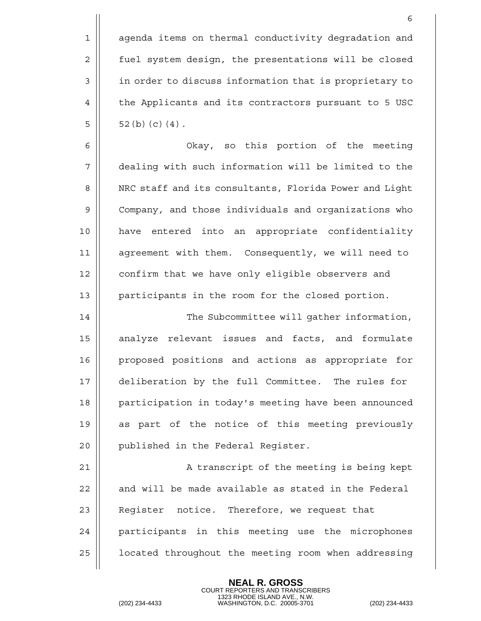1 || agenda items on thermal conductivity degradation and 2 | fuel system design, the presentations will be closed 3 || in order to discuss information that is proprietary to 4 | the Applicants and its contractors pursuant to 5 USC  $5|| 52(b)(c)(4).$ 

 Okay, so this portion of the meeting dealing with such information will be limited to the 8 | NRC staff and its consultants, Florida Power and Light Company, and those individuals and organizations who have entered into an appropriate confidentiality agreement with them. Consequently, we will need to 12 | confirm that we have only eligible observers and 13 || participants in the room for the closed portion.

14 | The Subcommittee will gather information, 15 analyze relevant issues and facts, and formulate 16 proposed positions and actions as appropriate for 17 deliberation by the full Committee. The rules for 18 || participation in today's meeting have been announced 19 as part of the notice of this meeting previously 20 | published in the Federal Register.

21 || A transcript of the meeting is being kept  $22$   $\parallel$  and will be made available as stated in the Federal 23 || Reqister notice. Therefore, we request that 24 || participants in this meeting use the microphones 25 | located throughout the meeting room when addressing

> **NEAL R. GROSS** COURT REPORTERS AND TRANSCRIBERS

1323 RHODE ISLAND AVE., N.W. (202) 234-4433 WASHINGTON, D.C. 20005-3701 (202) 234-4433

6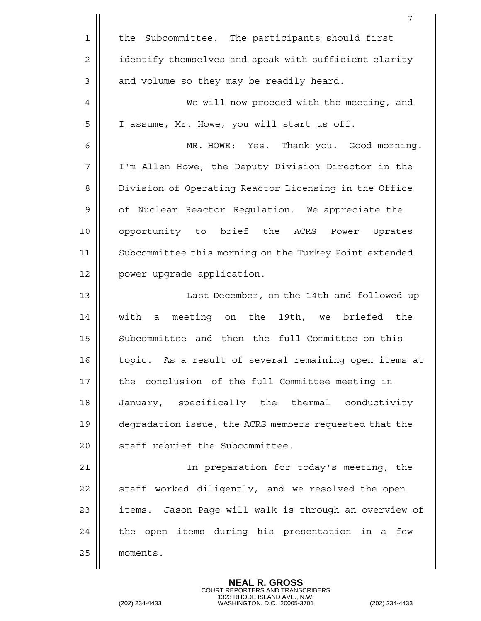|                | 7                                                      |
|----------------|--------------------------------------------------------|
| $\mathbf 1$    | the Subcommittee. The participants should first        |
| $\overline{2}$ | identify themselves and speak with sufficient clarity  |
| 3              | and volume so they may be readily heard.               |
| 4              | We will now proceed with the meeting, and              |
| 5              | I assume, Mr. Howe, you will start us off.             |
| 6              | MR. HOWE: Yes. Thank you. Good morning.                |
| 7              | I'm Allen Howe, the Deputy Division Director in the    |
| 8              | Division of Operating Reactor Licensing in the Office  |
| 9              | of Nuclear Reactor Regulation. We appreciate the       |
| 10             | opportunity to brief the ACRS<br>Power<br>Uprates      |
| 11             | Subcommittee this morning on the Turkey Point extended |
| 12             | power upgrade application.                             |
| 13             | Last December, on the 14th and followed up             |
| 14             | a meeting on the 19th, we briefed the<br>with          |
| 15             | Subcommittee and then the full Committee on this       |
| 16             | topic. As a result of several remaining open items at  |
| 17             | the conclusion of the full Committee meeting in        |
| 18             | January, specifically the thermal conductivity         |
| 19             | degradation issue, the ACRS members requested that the |
| 20             | staff rebrief the Subcommittee.                        |
| 21             | In preparation for today's meeting, the                |
| 22             | staff worked diligently, and we resolved the open      |
| 23             | items. Jason Page will walk is through an overview of  |
| 24             | the open items during his presentation in a few        |
| 25             | moments.                                               |
|                |                                                        |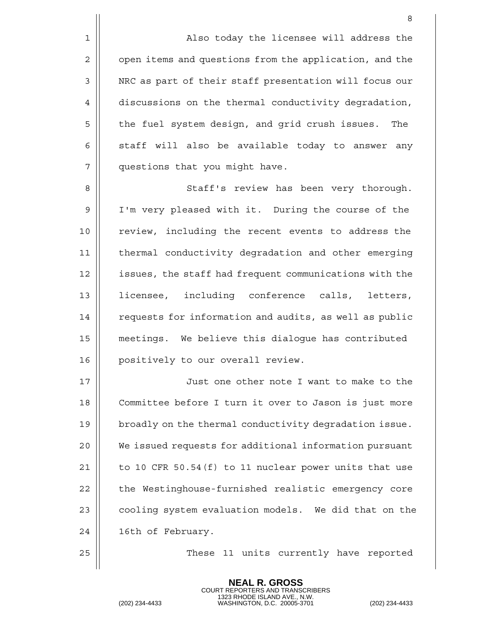1 | Also today the licensee will address the 2 | open items and questions from the application, and the 3 | NRC as part of their staff presentation will focus our 4 discussions on the thermal conductivity degradation, 5 || the fuel system design, and grid crush issues. The  $6 \parallel$  staff will also be available today to answer any 7 questions that you might have.

8 Staff's review has been very thorough. 9 I'm very pleased with it. During the course of the 10 || review, including the recent events to address the 11 thermal conductivity degradation and other emerging 12 || issues, the staff had frequent communications with the 13 lettensee, including conference calls, letters, 14 | requests for information and audits, as well as public 15 meetings. We believe this dialogue has contributed 16 || positively to our overall review.

 Just one other note I want to make to the Committee before I turn it over to Jason is just more 19 | broadly on the thermal conductivity degradation issue. We issued requests for additional information pursuant  $\vert\vert$  to 10 CFR 50.54(f) to 11 nuclear power units that use 22 | the Westinghouse-furnished realistic emergency core  $\parallel$  cooling system evaluation models. We did that on the 24 | 16th of February.

25 These 11 units currently have reported

**NEAL R. GROSS** COURT REPORTERS AND TRANSCRIBERS

1323 RHODE ISLAND AVE., N.W. (202) 234-4433 WASHINGTON, D.C. 20005-3701 (202) 234-4433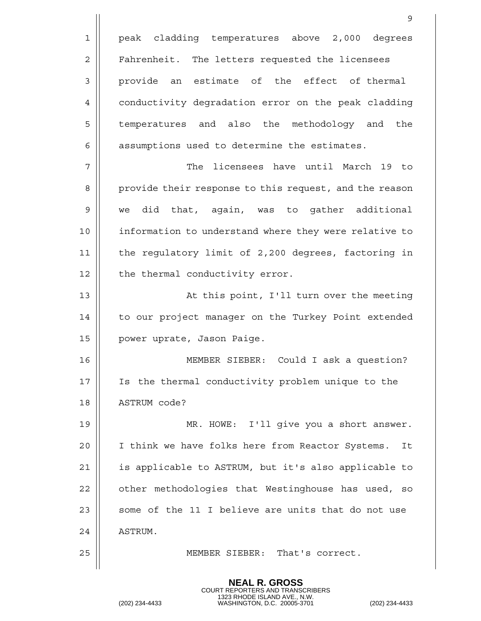|             | 9                                                      |
|-------------|--------------------------------------------------------|
| $\mathbf 1$ | peak cladding temperatures above 2,000 degrees         |
| 2           | Fahrenheit. The letters requested the licensees        |
| 3           | provide an estimate of the effect of thermal           |
| 4           | conductivity degradation error on the peak cladding    |
| 5           | temperatures and also the methodology and the          |
| 6           | assumptions used to determine the estimates.           |
| 7           | The licensees have until March 19 to                   |
| 8           | provide their response to this request, and the reason |
| 9           | did that, again, was to gather additional<br>we        |
| 10          | information to understand where they were relative to  |
| 11          | the regulatory limit of 2,200 degrees, factoring in    |
| 12          | the thermal conductivity error.                        |
| 13          | At this point, I'll turn over the meeting              |
| 14          | to our project manager on the Turkey Point extended    |
| 15          | power uprate, Jason Paige.                             |
| 16          | MEMBER SIEBER: Could I ask a question?                 |
| 17          | Is the thermal conductivity problem unique to the      |
| 18          | ASTRUM code?                                           |
| 19          | MR. HOWE: I'll give you a short answer.                |
| 20          | I think we have folks here from Reactor Systems.<br>It |
| 21          | is applicable to ASTRUM, but it's also applicable to   |
| 22          | other methodologies that Westinghouse has used, so     |
| 23          | some of the 11 I believe are units that do not use     |
| 24          | ASTRUM.                                                |
| 25          | MEMBER SIEBER: That's correct.                         |
|             |                                                        |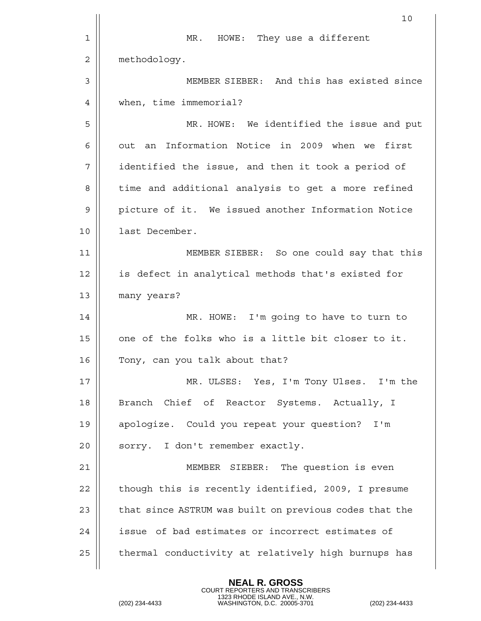|    | 10                                                     |
|----|--------------------------------------------------------|
| 1  | HOWE: They use a different<br>MR.                      |
| 2  | methodology.                                           |
| 3  | MEMBER SIEBER: And this has existed since              |
| 4  | when, time immemorial?                                 |
| 5  | MR. HOWE: We identified the issue and put              |
| 6  | out an Information Notice in 2009 when we first        |
| 7  | identified the issue, and then it took a period of     |
| 8  | time and additional analysis to get a more refined     |
| 9  | picture of it. We issued another Information Notice    |
| 10 | last December.                                         |
| 11 | MEMBER SIEBER: So one could say that this              |
| 12 | is defect in analytical methods that's existed for     |
| 13 | many years?                                            |
| 14 | MR. HOWE: I'm going to have to turn to                 |
| 15 | one of the folks who is a little bit closer to it.     |
| 16 | Tony, can you talk about that?                         |
| 17 | MR. ULSES: Yes, I'm Tony Ulses. I'm the                |
| 18 | Branch Chief of Reactor Systems. Actually, I           |
| 19 | apologize. Could you repeat your question? I'm         |
| 20 | sorry. I don't remember exactly.                       |
| 21 | MEMBER SIEBER: The question is even                    |
| 22 | though this is recently identified, 2009, I presume    |
| 23 | that since ASTRUM was built on previous codes that the |
| 24 | issue of bad estimates or incorrect estimates of       |
| 25 | thermal conductivity at relatively high burnups has    |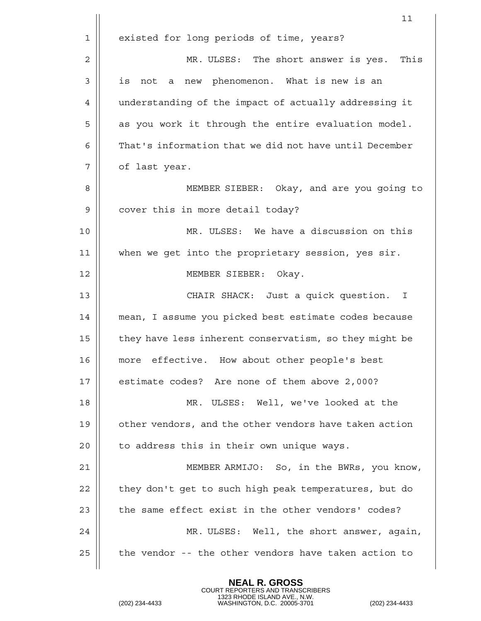|              | 11                                                     |
|--------------|--------------------------------------------------------|
| $\mathbf 1$  | existed for long periods of time, years?               |
| $\mathbf{2}$ | This<br>MR. ULSES: The short answer is yes.            |
| 3            | is not a new phenomenon. What is new is an             |
| 4            | understanding of the impact of actually addressing it  |
| 5            | as you work it through the entire evaluation model.    |
| 6            | That's information that we did not have until December |
| 7            | of last year.                                          |
| 8            | MEMBER SIEBER: Okay, and are you going to              |
| 9            | cover this in more detail today?                       |
| 10           | MR. ULSES: We have a discussion on this                |
| 11           | when we get into the proprietary session, yes sir.     |
| 12           | MEMBER SIEBER: Okay.                                   |
| 13           | CHAIR SHACK: Just a quick question.<br>$\mathbf{I}$    |
| 14           | mean, I assume you picked best estimate codes because  |
| 15           | they have less inherent conservatism, so they might be |
| 16           | more effective. How about other people's best          |
| 17           | estimate codes? Are none of them above 2,000?          |
| 18           | MR. ULSES: Well, we've looked at the                   |
| 19           | other vendors, and the other vendors have taken action |
| 20           | to address this in their own unique ways.              |
| 21           | MEMBER ARMIJO: So, in the BWRs, you know,              |
| 22           | they don't get to such high peak temperatures, but do  |
| 23           | the same effect exist in the other vendors' codes?     |
| 24           | MR. ULSES: Well, the short answer, again,              |
| 25           | the vendor -- the other vendors have taken action to   |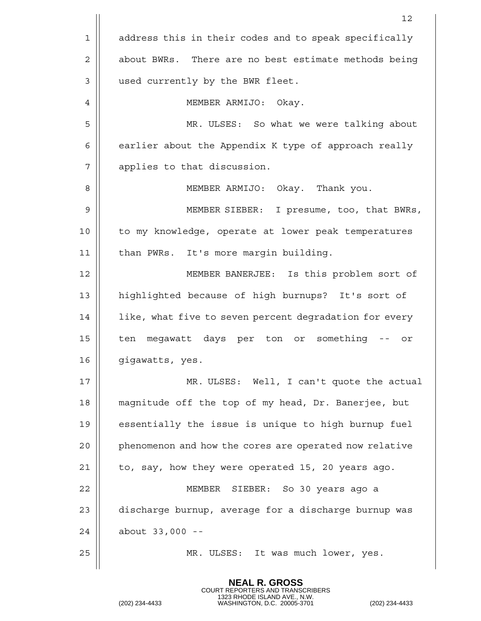|    | 12                                                     |
|----|--------------------------------------------------------|
| 1  | address this in their codes and to speak specifically  |
| 2  | about BWRs. There are no best estimate methods being   |
| 3  | used currently by the BWR fleet.                       |
| 4  | MEMBER ARMIJO: Okay.                                   |
| 5  | MR. ULSES: So what we were talking about               |
| 6  | earlier about the Appendix K type of approach really   |
| 7  | applies to that discussion.                            |
| 8  | MEMBER ARMIJO: Okay. Thank you.                        |
| 9  | MEMBER SIEBER: I presume, too, that BWRs,              |
| 10 | to my knowledge, operate at lower peak temperatures    |
| 11 | than PWRs. It's more margin building.                  |
| 12 | MEMBER BANERJEE: Is this problem sort of               |
| 13 | highlighted because of high burnups? It's sort of      |
| 14 | like, what five to seven percent degradation for every |
| 15 | ten megawatt days per ton or something -- or           |
| 16 | gigawatts, yes.                                        |
| 17 | MR. ULSES: Well, I can't quote the actual              |
| 18 | magnitude off the top of my head, Dr. Banerjee, but    |
| 19 | essentially the issue is unique to high burnup fuel    |
| 20 | phenomenon and how the cores are operated now relative |
| 21 | to, say, how they were operated 15, 20 years ago.      |
| 22 | MEMBER SIEBER: So 30 years ago a                       |
| 23 | discharge burnup, average for a discharge burnup was   |
| 24 | about 33,000 --                                        |
| 25 | MR. ULSES: It was much lower, yes.                     |
|    |                                                        |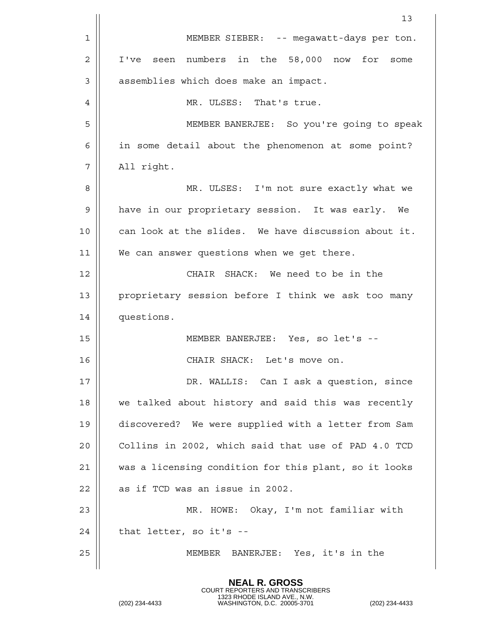|    | 13                                                    |
|----|-------------------------------------------------------|
| 1  | MEMBER SIEBER: -- megawatt-days per ton.              |
| 2  | seen numbers in the 58,000 now for<br>I've<br>some    |
| 3  | assemblies which does make an impact.                 |
| 4  | MR. ULSES: That's true.                               |
| 5  | MEMBER BANERJEE: So you're going to speak             |
| 6  | in some detail about the phenomenon at some point?    |
| 7  | All right.                                            |
| 8  | MR. ULSES: I'm not sure exactly what we               |
| 9  | have in our proprietary session. It was early. We     |
| 10 | can look at the slides. We have discussion about it.  |
| 11 | We can answer questions when we get there.            |
| 12 | CHAIR SHACK: We need to be in the                     |
| 13 | proprietary session before I think we ask too many    |
| 14 | questions.                                            |
| 15 | MEMBER BANERJEE: Yes, so let's --                     |
| 16 | CHAIR SHACK: Let's move on.                           |
| 17 | DR. WALLIS: Can I ask a question, since               |
| 18 | we talked about history and said this was recently    |
| 19 | discovered? We were supplied with a letter from Sam   |
| 20 | Collins in 2002, which said that use of PAD 4.0 TCD   |
| 21 | was a licensing condition for this plant, so it looks |
| 22 | as if TCD was an issue in 2002.                       |
| 23 | MR. HOWE: Okay, I'm not familiar with                 |
| 24 | that letter, so it's --                               |
| 25 | MEMBER<br>BANERJEE: Yes, it's in the                  |
|    |                                                       |

```
COURT REPORTERS AND TRANSCRIBERS
1323 RHODE ISLAND AVE., N.W.
(202) 234-4433 WASHINGTON, D.C. 20005-3701 (202) 234-4433
```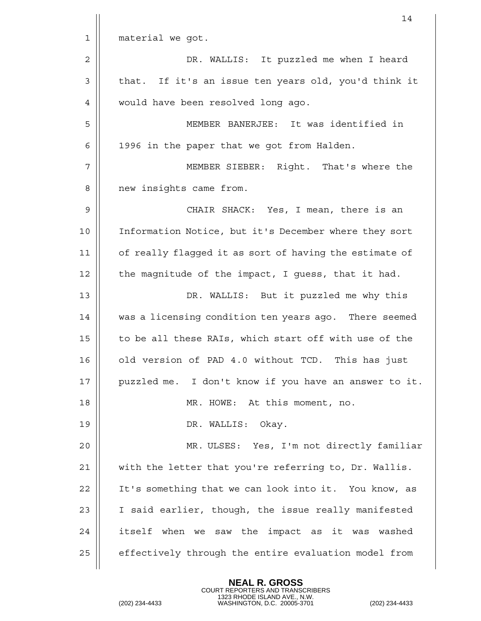|             | 14                                                     |
|-------------|--------------------------------------------------------|
| $\mathbf 1$ | material we got.                                       |
| 2           | DR. WALLIS: It puzzled me when I heard                 |
| 3           | that. If it's an issue ten years old, you'd think it   |
| 4           | would have been resolved long ago.                     |
| 5           | MEMBER BANERJEE: It was identified in                  |
| 6           | 1996 in the paper that we got from Halden.             |
| 7           | MEMBER SIEBER: Right. That's where the                 |
| 8           | new insights came from.                                |
| 9           | CHAIR SHACK: Yes, I mean, there is an                  |
| 10          | Information Notice, but it's December where they sort  |
| 11          | of really flagged it as sort of having the estimate of |
| 12          | the magnitude of the impact, I guess, that it had.     |
| 13          | DR. WALLIS: But it puzzled me why this                 |
| 14          | was a licensing condition ten years ago. There seemed  |
| 15          | to be all these RAIs, which start off with use of the  |
| 16          | old version of PAD 4.0 without TCD. This has just      |
| 17          | puzzled me. I don't know if you have an answer to it.  |
| 18          | MR. HOWE: At this moment, no.                          |
| 19          | DR. WALLIS: Okay.                                      |
| 20          | MR. ULSES: Yes, I'm not directly familiar              |
| 21          | with the letter that you're referring to, Dr. Wallis.  |
| 22          | It's something that we can look into it. You know, as  |
| 23          | I said earlier, though, the issue really manifested    |
| 24          | itself when we saw the impact as it was washed         |
| 25          | effectively through the entire evaluation model from   |
|             |                                                        |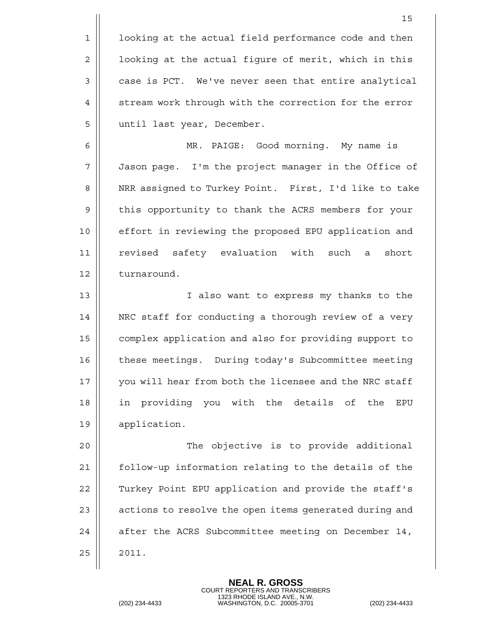|             | 15                                                     |
|-------------|--------------------------------------------------------|
| 1           | looking at the actual field performance code and then  |
| 2           | looking at the actual figure of merit, which in this   |
| 3           | case is PCT. We've never seen that entire analytical   |
| 4           | stream work through with the correction for the error  |
| 5           | until last year, December.                             |
| 6           | MR. PAIGE: Good morning. My name is                    |
| 7           | Jason page. I'm the project manager in the Office of   |
| 8           | NRR assigned to Turkey Point. First, I'd like to take  |
| $\mathsf 9$ | this opportunity to thank the ACRS members for your    |
| 10          | effort in reviewing the proposed EPU application and   |
| 11          | revised safety evaluation with such<br>short<br>a      |
| 12          | turnaround.                                            |
| 13          | I also want to express my thanks to the                |
| 14          | NRC staff for conducting a thorough review of a very   |
| 15          | complex application and also for providing support to  |
| 16          | these meetings. During today's Subcommittee meeting    |
| 17          | you will hear from both the licensee and the NRC staff |
| 18          | in providing you with the details of<br>the<br>EPU     |
| 19          | application.                                           |
| 20          | The objective is to provide additional                 |
| 21          | follow-up information relating to the details of the   |
| 22          | Turkey Point EPU application and provide the staff's   |
| 23          | actions to resolve the open items generated during and |
| 24          | after the ACRS Subcommittee meeting on December 14,    |
| 25          | 2011.                                                  |
|             |                                                        |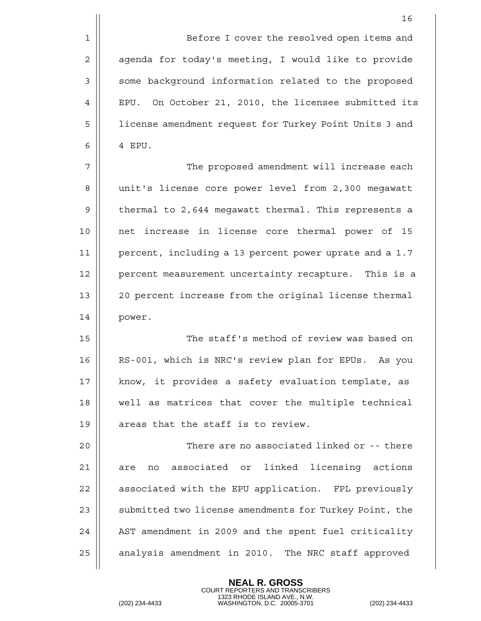1 Before I cover the resolved open items and 2 | agenda for today's meeting, I would like to provide 3 || some background information related to the proposed 4 || EPU. On October 21, 2010, the licensee submitted its 5 | | license amendment request for Turkey Point Units 3 and  $6 \parallel 4$  EPU.

7 The proposed amendment will increase each 8 || unit's license core power level from 2,300 megawatt 9 | thermal to 2,644 megawatt thermal. This represents a 10 net increase in license core thermal power of 15 11 percent, including a 13 percent power uprate and a 1.7 12 | percent measurement uncertainty recapture. This is a 13 20 percent increase from the original license thermal 14 power.

15 The staff's method of review was based on 16 || RS-001, which is NRC's review plan for EPUs. As you 17 || know, it provides a safety evaluation template, as 18 well as matrices that cover the multiple technical 19  $\parallel$  areas that the staff is to review.

20 There are no associated linked or -- there 21 || are no associated or linked licensing actions 22 | associated with the EPU application. FPL previously 23 || submitted two license amendments for Turkey Point, the 24 || AST amendment in 2009 and the spent fuel criticality 25 | analysis amendment in 2010. The NRC staff approved

> **NEAL R. GROSS** COURT REPORTERS AND TRANSCRIBERS

1323 RHODE ISLAND AVE., N.W. (202) 234-4433 WASHINGTON, D.C. 20005-3701 (202) 234-4433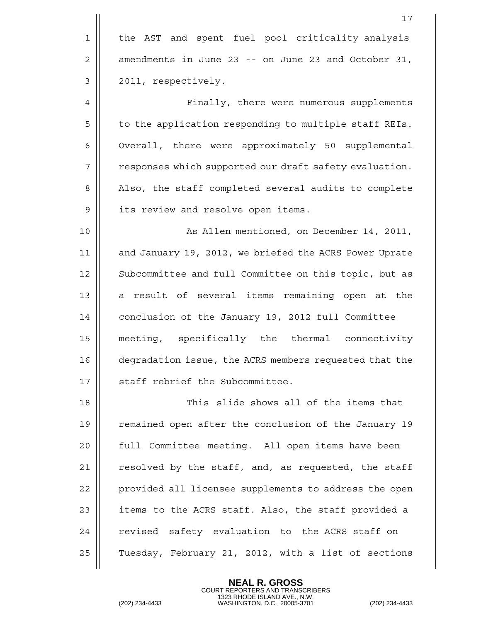|    | 17                                                     |
|----|--------------------------------------------------------|
| 1  | the AST and spent fuel pool criticality analysis       |
| 2  | amendments in June 23 -- on June 23 and October 31,    |
| 3  | 2011, respectively.                                    |
| 4  | Finally, there were numerous supplements               |
| 5  | to the application responding to multiple staff REIs.  |
| 6  | Overall, there were approximately 50 supplemental      |
| 7  | responses which supported our draft safety evaluation. |
| 8  | Also, the staff completed several audits to complete   |
| 9  | its review and resolve open items.                     |
| 10 | As Allen mentioned, on December 14, 2011,              |
| 11 | and January 19, 2012, we briefed the ACRS Power Uprate |
| 12 | Subcommittee and full Committee on this topic, but as  |
| 13 | a result of several items remaining open at the        |
| 14 | conclusion of the January 19, 2012 full Committee      |
| 15 | meeting, specifically the thermal connectivity         |
| 16 | degradation issue, the ACRS members requested that the |
| 17 | staff rebrief the Subcommittee.                        |
| 18 | This slide shows all of the items that                 |
| 19 | remained open after the conclusion of the January 19   |
| 20 | full Committee meeting. All open items have been       |
| 21 | resolved by the staff, and, as requested, the staff    |
| 22 | provided all licensee supplements to address the open  |
| 23 | items to the ACRS staff. Also, the staff provided a    |
| 24 | revised safety evaluation to the ACRS staff on         |
| 25 | Tuesday, February 21, 2012, with a list of sections    |
|    |                                                        |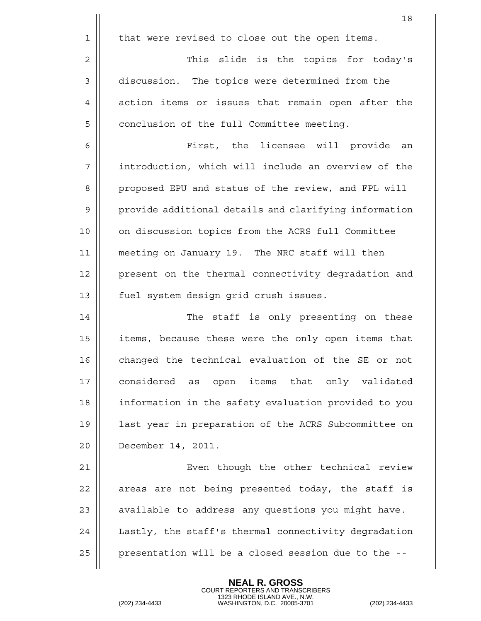18  $1 \parallel$  that were revised to close out the open items. 2 | This slide is the topics for today's 3 | discussion. The topics were determined from the 4 action items or issues that remain open after the 5 | conclusion of the full Committee meeting. 6 First, the licensee will provide an 7 introduction, which will include an overview of the 8 || proposed EPU and status of the review, and FPL will 9 || provide additional details and clarifying information 10 || on discussion topics from the ACRS full Committee 11 meeting on January 19. The NRC staff will then 12 || present on the thermal connectivity degradation and 13 || fuel system design grid crush issues. 14 || The staff is only presenting on these 15 || items, because these were the only open items that 16 || changed the technical evaluation of the SE or not 17 || considered as open items that only validated 18 | information in the safety evaluation provided to you 19 last year in preparation of the ACRS Subcommittee on 20 December 14, 2011. 21 | Even though the other technical review  $22$  || areas are not being presented today, the staff is 23  $\parallel$  available to address any questions you might have. 24 | Lastly, the staff's thermal connectivity degradation  $25$  | presentation will be a closed session due to the  $-$ -

> **NEAL R. GROSS** COURT REPORTERS AND TRANSCRIBERS

1323 RHODE ISLAND AVE., N.W. (202) 234-4433 WASHINGTON, D.C. 20005-3701 (202) 234-4433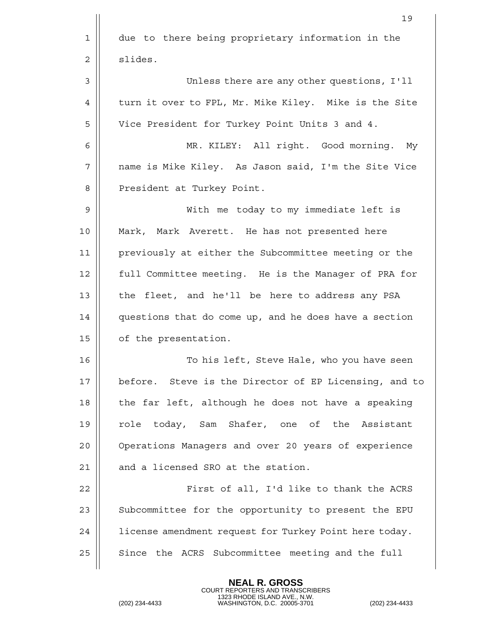|             | 19                                                     |
|-------------|--------------------------------------------------------|
| $\mathbf 1$ | due to there being proprietary information in the      |
| 2           | slides.                                                |
| 3           | Unless there are any other questions, I'll             |
| 4           | turn it over to FPL, Mr. Mike Kiley. Mike is the Site  |
| 5           | Vice President for Turkey Point Units 3 and 4.         |
| 6           | MR. KILEY: All right. Good morning. My                 |
| 7           | name is Mike Kiley. As Jason said, I'm the Site Vice   |
| 8           | President at Turkey Point.                             |
| 9           | With me today to my immediate left is                  |
| 10          | Mark, Mark Averett. He has not presented here          |
| 11          | previously at either the Subcommittee meeting or the   |
| 12          | full Committee meeting. He is the Manager of PRA for   |
| 13          | the fleet, and he'll be here to address any PSA        |
| 14          | questions that do come up, and he does have a section  |
| 15          | of the presentation.                                   |
| 16          | To his left, Steve Hale, who you have seen             |
| 17          | before. Steve is the Director of EP Licensing, and to  |
| 18          | the far left, although he does not have a speaking     |
| 19          | role today, Sam Shafer, one of the Assistant           |
| 20          | Operations Managers and over 20 years of experience    |
| 21          | and a licensed SRO at the station.                     |
| 22          | First of all, I'd like to thank the ACRS               |
| 23          | Subcommittee for the opportunity to present the EPU    |
| 24          | license amendment request for Turkey Point here today. |
| 25          | Since the ACRS Subcommittee meeting and the full       |
|             |                                                        |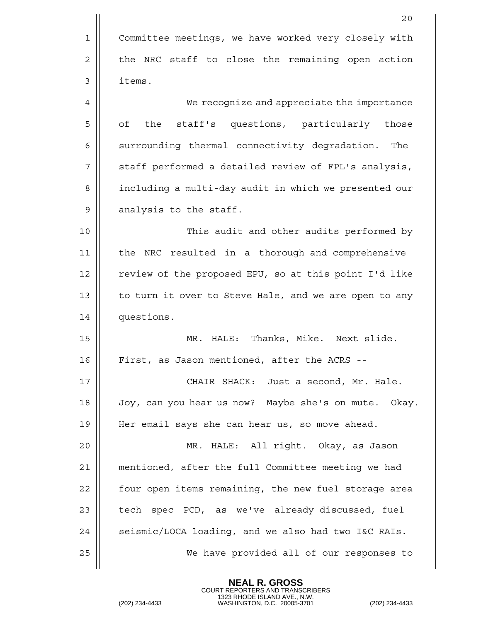|    | 20                                                    |
|----|-------------------------------------------------------|
| 1  | Committee meetings, we have worked very closely with  |
| 2  | the NRC staff to close the remaining open action      |
| 3  | items.                                                |
| 4  | We recognize and appreciate the importance            |
| 5  | the staff's questions, particularly those<br>оf       |
| 6  | surrounding thermal connectivity degradation.<br>The  |
| 7  | staff performed a detailed review of FPL's analysis,  |
| 8  | including a multi-day audit in which we presented our |
| 9  | analysis to the staff.                                |
| 10 | This audit and other audits performed by              |
| 11 | the NRC resulted in a thorough and comprehensive      |
| 12 | review of the proposed EPU, so at this point I'd like |
| 13 | to turn it over to Steve Hale, and we are open to any |
| 14 | questions.                                            |
| 15 | Thanks, Mike. Next slide.<br>MR. HALE:                |
| 16 | First, as Jason mentioned, after the ACRS --          |
| 17 | CHAIR SHACK: Just a second, Mr. Hale.                 |
| 18 | Joy, can you hear us now? Maybe she's on mute. Okay.  |
| 19 | Her email says she can hear us, so move ahead.        |
| 20 | MR. HALE: All right. Okay, as Jason                   |
| 21 | mentioned, after the full Committee meeting we had    |
| 22 | four open items remaining, the new fuel storage area  |
| 23 | tech spec PCD, as we've already discussed, fuel       |
| 24 | seismic/LOCA loading, and we also had two I&C RAIs.   |
| 25 | We have provided all of our responses to              |
|    |                                                       |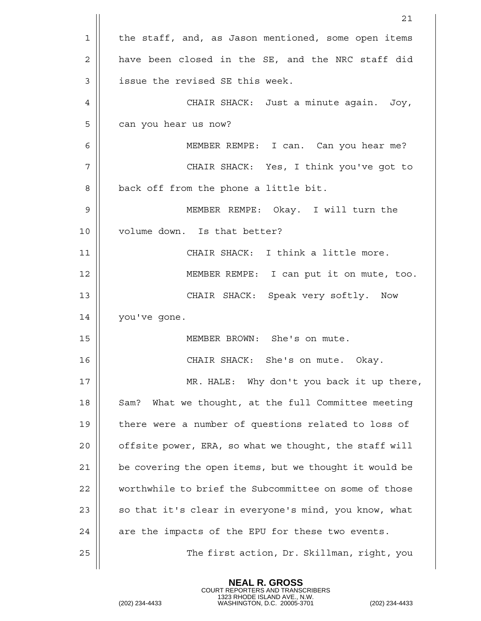|    | 21                                                     |
|----|--------------------------------------------------------|
| 1  | the staff, and, as Jason mentioned, some open items    |
| 2  | have been closed in the SE, and the NRC staff did      |
| 3  | issue the revised SE this week.                        |
| 4  | CHAIR SHACK: Just a minute again.<br>Joy,              |
| 5  | can you hear us now?                                   |
| 6  | MEMBER REMPE: I can. Can you hear me?                  |
| 7  | CHAIR SHACK: Yes, I think you've got to                |
| 8  | back off from the phone a little bit.                  |
| 9  | MEMBER REMPE: Okay. I will turn the                    |
| 10 | volume down. Is that better?                           |
| 11 | CHAIR SHACK: I think a little more.                    |
| 12 | MEMBER REMPE: I can put it on mute, too.               |
| 13 | CHAIR SHACK: Speak very softly. Now                    |
| 14 | you've gone.                                           |
| 15 | MEMBER BROWN: She's on mute.                           |
| 16 | CHAIR SHACK: She's on mute. Okay.                      |
| 17 | MR. HALE: Why don't you back it up there,              |
| 18 | What we thought, at the full Committee meeting<br>Sam? |
| 19 | there were a number of questions related to loss of    |
| 20 | offsite power, ERA, so what we thought, the staff will |
| 21 | be covering the open items, but we thought it would be |
| 22 | worthwhile to brief the Subcommittee on some of those  |
| 23 | so that it's clear in everyone's mind, you know, what  |
| 24 | are the impacts of the EPU for these two events.       |
| 25 | The first action, Dr. Skillman, right, you             |
|    |                                                        |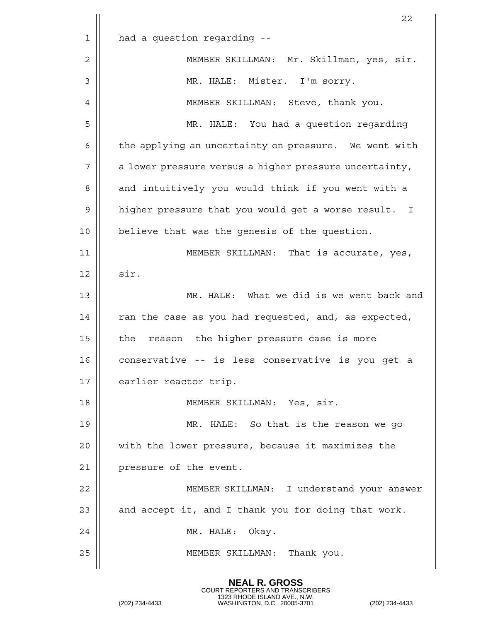|    | 22                                                     |
|----|--------------------------------------------------------|
| 1  | had a question regarding --                            |
| 2  | MEMBER SKILLMAN: Mr. Skillman, yes, sir.               |
| 3  | MR. HALE: Mister. I'm sorry.                           |
| 4  | MEMBER SKILLMAN: Steve, thank you.                     |
| 5  | MR. HALE: You had a question regarding                 |
| 6  | the applying an uncertainty on pressure. We went with  |
| 7  | a lower pressure versus a higher pressure uncertainty, |
| 8  | and intuitively you would think if you went with a     |
| 9  | higher pressure that you would get a worse result. I   |
| 10 | believe that was the genesis of the question.          |
| 11 | MEMBER SKILLMAN: That is accurate, yes,                |
| 12 | sir.                                                   |
| 13 | MR. HALE: What we did is we went back and              |
| 14 | ran the case as you had requested, and, as expected,   |
| 15 | reason the higher pressure case is more<br>the         |
| 16 | conservative -- is less conservative is you get a      |
| 17 | earlier reactor trip.                                  |
| 18 | MEMBER SKILLMAN: Yes, sir.                             |
| 19 | MR. HALE: So that is the reason we go                  |
| 20 | with the lower pressure, because it maximizes the      |
| 21 | pressure of the event.                                 |
| 22 | MEMBER SKILLMAN: I understand your answer              |
| 23 | and accept it, and I thank you for doing that work.    |
| 24 | MR. HALE: Okay.                                        |
| 25 | MEMBER SKILLMAN: Thank you.                            |
|    |                                                        |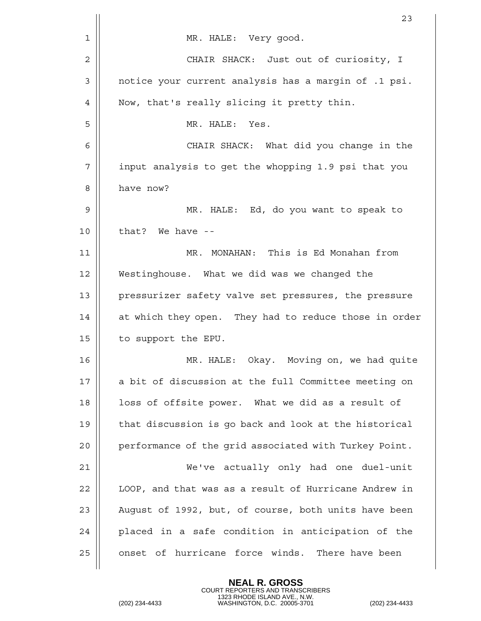|              | 23                                                    |
|--------------|-------------------------------------------------------|
| 1            | MR. HALE: Very good.                                  |
| $\mathbf{2}$ | CHAIR SHACK: Just out of curiosity, I                 |
| 3            | notice your current analysis has a margin of .1 psi.  |
| 4            | Now, that's really slicing it pretty thin.            |
| 5            | MR. HALE: Yes.                                        |
| 6            | CHAIR SHACK: What did you change in the               |
| 7            | input analysis to get the whopping 1.9 psi that you   |
| 8            | have now?                                             |
| 9            | MR. HALE: Ed, do you want to speak to                 |
| 10           | that? We have --                                      |
| 11           | MR. MONAHAN: This is Ed Monahan from                  |
| 12           | Westinghouse. What we did was we changed the          |
| 13           | pressurizer safety valve set pressures, the pressure  |
| 14           | at which they open. They had to reduce those in order |
| 15           | to support the EPU.                                   |
| 16           | MR. HALE: Okay. Moving on, we had quite               |
| 17           | a bit of discussion at the full Committee meeting on  |
| 18           | loss of offsite power. What we did as a result of     |
| 19           | that discussion is go back and look at the historical |
| 20           | performance of the grid associated with Turkey Point. |
| 21           | We've actually only had one duel-unit                 |
| 22           | LOOP, and that was as a result of Hurricane Andrew in |
| 23           | August of 1992, but, of course, both units have been  |
| 24           | placed in a safe condition in anticipation of the     |
| 25           | onset of hurricane force winds. There have been       |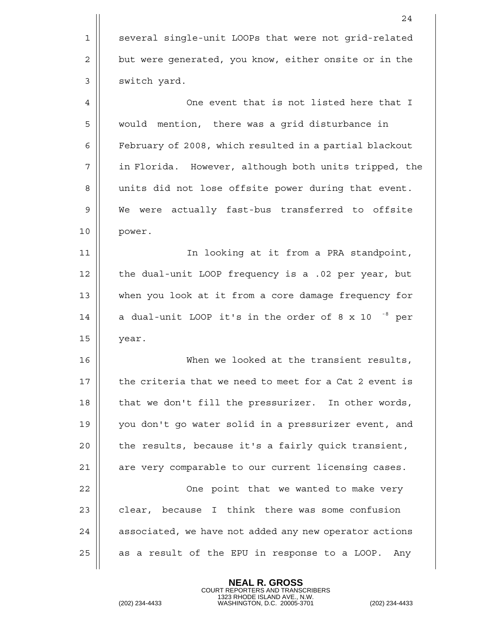|    | 24                                                       |
|----|----------------------------------------------------------|
| 1  | several single-unit LOOPs that were not grid-related     |
| 2  | but were generated, you know, either onsite or in the    |
| 3  | switch yard.                                             |
| 4  | One event that is not listed here that I                 |
| 5  | would mention, there was a grid disturbance in           |
| 6  | February of 2008, which resulted in a partial blackout   |
| 7  | in Florida. However, although both units tripped, the    |
| 8  | units did not lose offsite power during that event.      |
| 9  | We were actually fast-bus transferred to offsite         |
| 10 | power.                                                   |
| 11 | In looking at it from a PRA standpoint,                  |
| 12 | the dual-unit LOOP frequency is a .02 per year, but      |
| 13 | when you look at it from a core damage frequency for     |
| 14 | a dual-unit LOOP it's in the order of 8 x 10 $^{-8}$ per |
| 15 | year.                                                    |
| 16 | When we looked at the transient results,                 |
| 17 | the criteria that we need to meet for a Cat 2 event is   |
| 18 | that we don't fill the pressurizer. In other words,      |
| 19 | you don't go water solid in a pressurizer event, and     |
| 20 | the results, because it's a fairly quick transient,      |
| 21 | are very comparable to our current licensing cases.      |
| 22 | One point that we wanted to make very                    |
| 23 | clear, because I think there was some confusion          |
| 24 | associated, we have not added any new operator actions   |
| 25 | as a result of the EPU in response to a LOOP.<br>Any     |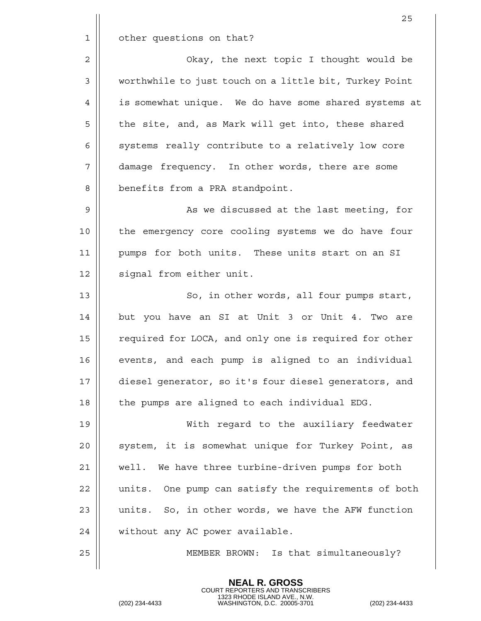|    | 25                                                     |
|----|--------------------------------------------------------|
| 1  | other questions on that?                               |
| 2  | Okay, the next topic I thought would be                |
| 3  | worthwhile to just touch on a little bit, Turkey Point |
| 4  | is somewhat unique. We do have some shared systems at  |
| 5  | the site, and, as Mark will get into, these shared     |
| 6  | systems really contribute to a relatively low core     |
| 7  | damage frequency. In other words, there are some       |
| 8  | benefits from a PRA standpoint.                        |
| 9  | As we discussed at the last meeting, for               |
| 10 | the emergency core cooling systems we do have four     |
| 11 | pumps for both units. These units start on an SI       |
| 12 | signal from either unit.                               |
| 13 | So, in other words, all four pumps start,              |
| 14 | but you have an SI at Unit 3 or Unit 4. Two are        |
| 15 | required for LOCA, and only one is required for other  |
| 16 | events, and each pump is aligned to an individual      |
| 17 | diesel generator, so it's four diesel generators, and  |
| 18 | the pumps are aligned to each individual EDG.          |
| 19 | With regard to the auxiliary feedwater                 |
| 20 | system, it is somewhat unique for Turkey Point, as     |
| 21 | well. We have three turbine-driven pumps for both      |
| 22 | units. One pump can satisfy the requirements of both   |
| 23 | units. So, in other words, we have the AFW function    |
| 24 | without any AC power available.                        |
| 25 | Is that simultaneously?<br>MEMBER BROWN:               |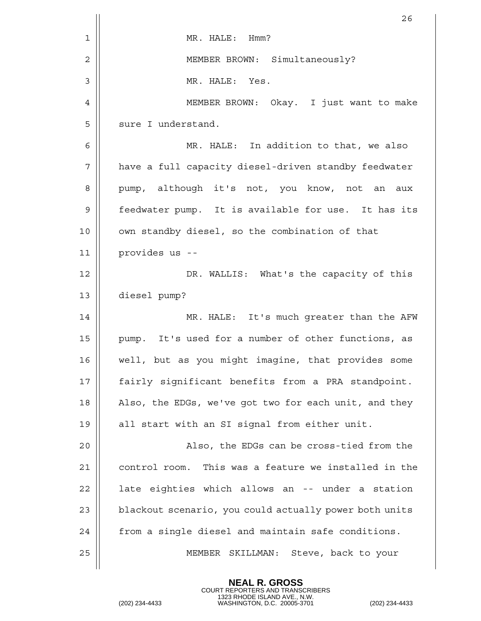|    | 26                                                     |
|----|--------------------------------------------------------|
| 1  | MR. HALE: Hmm?                                         |
| 2  | MEMBER BROWN: Simultaneously?                          |
| 3  | MR. HALE: Yes.                                         |
| 4  | MEMBER BROWN: Okay. I just want to make                |
| 5  | sure I understand.                                     |
| 6  | MR. HALE: In addition to that, we also                 |
| 7  | have a full capacity diesel-driven standby feedwater   |
| 8  | pump, although it's not, you know, not an<br>aux       |
| 9  | feedwater pump. It is available for use. It has its    |
| 10 | own standby diesel, so the combination of that         |
| 11 | provides us --                                         |
| 12 | DR. WALLIS: What's the capacity of this                |
| 13 | diesel pump?                                           |
| 14 | MR. HALE: It's much greater than the AFW               |
| 15 | pump. It's used for a number of other functions, as    |
| 16 | well, but as you might imagine, that provides some     |
| 17 | fairly significant benefits from a PRA standpoint.     |
| 18 | Also, the EDGs, we've got two for each unit, and they  |
| 19 | all start with an SI signal from either unit.          |
| 20 | Also, the EDGs can be cross-tied from the              |
| 21 | control room. This was a feature we installed in the   |
| 22 | late eighties which allows an -- under a station       |
| 23 | blackout scenario, you could actually power both units |
| 24 | from a single diesel and maintain safe conditions.     |
| 25 | MEMBER SKILLMAN: Steve, back to your                   |
|    |                                                        |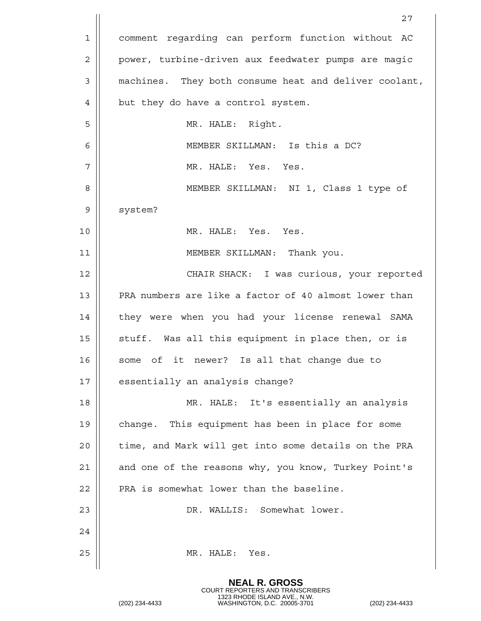|                | 27                                                    |
|----------------|-------------------------------------------------------|
| 1              | comment regarding can perform function without AC     |
| $\overline{2}$ | power, turbine-driven aux feedwater pumps are magic   |
| 3              | machines. They both consume heat and deliver coolant, |
| 4              | but they do have a control system.                    |
| 5              | MR. HALE: Right.                                      |
| 6              | MEMBER SKILLMAN: Is this a DC?                        |
| 7              | MR. HALE: Yes. Yes.                                   |
| 8              | MEMBER SKILLMAN: NI 1, Class 1 type of                |
| 9              | system?                                               |
| 10             | MR. HALE: Yes. Yes.                                   |
| 11             | MEMBER SKILLMAN: Thank you.                           |
| 12             | CHAIR SHACK: I was curious, your reported             |
| 13             | PRA numbers are like a factor of 40 almost lower than |
| 14             | they were when you had your license renewal SAMA      |
| 15             | stuff. Was all this equipment in place then, or is    |
| 16             | some of it newer? Is all that change due to           |
| 17             | essentially an analysis change?                       |
| 18             | MR. HALE: It's essentially an analysis                |
| 19             | change. This equipment has been in place for some     |
| 20             | time, and Mark will get into some details on the PRA  |
| 21             | and one of the reasons why, you know, Turkey Point's  |
| 22             | PRA is somewhat lower than the baseline.              |
| 23             | DR. WALLIS: Somewhat lower.                           |
| 24             |                                                       |
| 25             | MR. HALE:<br>Yes.                                     |
|                |                                                       |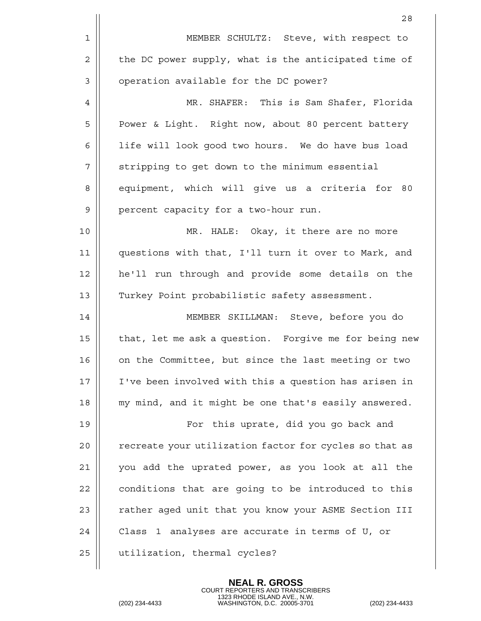|    | 28                                                     |
|----|--------------------------------------------------------|
| 1  | MEMBER SCHULTZ: Steve, with respect to                 |
| 2  | the DC power supply, what is the anticipated time of   |
| 3  | operation available for the DC power?                  |
| 4  | MR. SHAFER: This is Sam Shafer, Florida                |
| 5  | Power & Light. Right now, about 80 percent battery     |
| 6  | life will look good two hours. We do have bus load     |
| 7  | stripping to get down to the minimum essential         |
| 8  | equipment, which will give us a criteria for 80        |
| 9  | percent capacity for a two-hour run.                   |
| 10 | MR. HALE: Okay, it there are no more                   |
| 11 | questions with that, I'll turn it over to Mark, and    |
| 12 | he'll run through and provide some details on the      |
| 13 | Turkey Point probabilistic safety assessment.          |
| 14 | MEMBER SKILLMAN: Steve, before you do                  |
| 15 | that, let me ask a question. Forgive me for being new  |
| 16 | on the Committee, but since the last meeting or two    |
| 17 | I've been involved with this a question has arisen in  |
| 18 | my mind, and it might be one that's easily answered.   |
| 19 | For this uprate, did you go back and                   |
| 20 | recreate your utilization factor for cycles so that as |
| 21 | you add the uprated power, as you look at all the      |
| 22 | conditions that are going to be introduced to this     |
| 23 | rather aged unit that you know your ASME Section III   |
| 24 | Class 1 analyses are accurate in terms of U, or        |
| 25 | utilization, thermal cycles?                           |
|    |                                                        |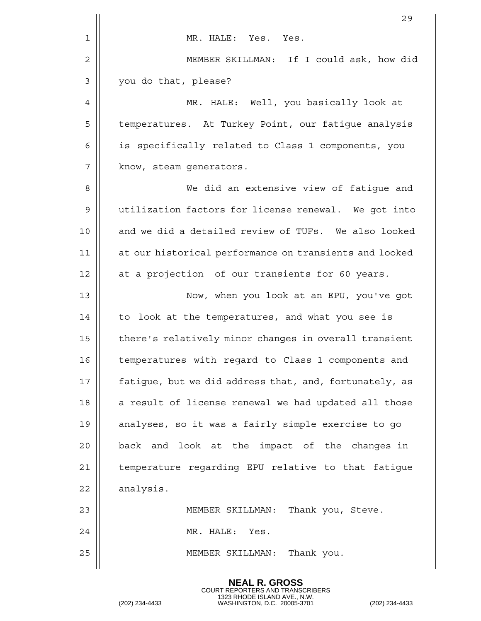|    | 29                                                     |
|----|--------------------------------------------------------|
| 1  | MR. HALE: Yes. Yes.                                    |
| 2  | MEMBER SKILLMAN: If I could ask, how did               |
| 3  | you do that, please?                                   |
| 4  | MR. HALE: Well, you basically look at                  |
| 5  | temperatures. At Turkey Point, our fatique analysis    |
| 6  | is specifically related to Class 1 components, you     |
| 7  | know, steam generators.                                |
| 8  | We did an extensive view of fatigue and                |
| 9  | utilization factors for license renewal. We got into   |
| 10 | and we did a detailed review of TUFs. We also looked   |
| 11 | at our historical performance on transients and looked |
| 12 | at a projection of our transients for 60 years.        |
| 13 | Now, when you look at an EPU, you've got               |
| 14 | to look at the temperatures, and what you see is       |
| 15 | there's relatively minor changes in overall transient  |
| 16 | temperatures with regard to Class 1 components and     |
| 17 | fatigue, but we did address that, and, fortunately, as |
| 18 | a result of license renewal we had updated all those   |
| 19 | analyses, so it was a fairly simple exercise to go     |
| 20 | back and look at the impact of the changes in          |
| 21 | temperature regarding EPU relative to that fatigue     |
| 22 | analysis.                                              |
| 23 | MEMBER SKILLMAN:<br>Thank you, Steve.                  |
| 24 | MR. HALE: Yes.                                         |
| 25 | MEMBER SKILLMAN:<br>Thank you.                         |
|    |                                                        |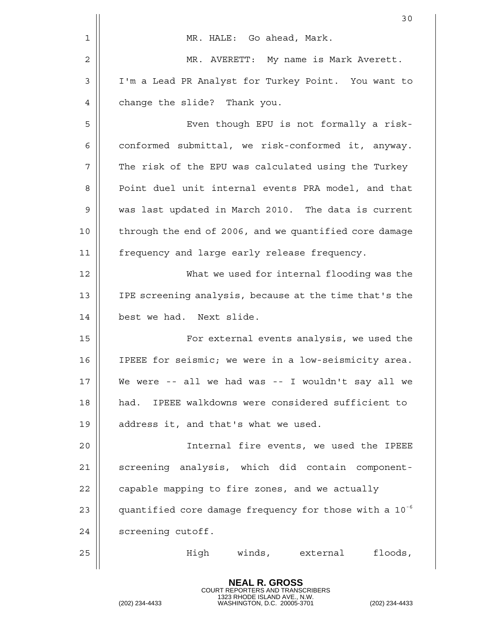|             | 30                                                                 |
|-------------|--------------------------------------------------------------------|
| $\mathbf 1$ | MR. HALE: Go ahead, Mark.                                          |
| 2           | MR. AVERETT: My name is Mark Averett.                              |
| 3           | I'm a Lead PR Analyst for Turkey Point. You want to                |
| 4           | change the slide? Thank you.                                       |
| 5           | Even though EPU is not formally a risk-                            |
| 6           | conformed submittal, we risk-conformed it, anyway.                 |
| 7           | The risk of the EPU was calculated using the Turkey                |
| 8           | Point duel unit internal events PRA model, and that                |
| 9           | was last updated in March 2010. The data is current                |
| 10          | through the end of 2006, and we quantified core damage             |
| 11          | frequency and large early release frequency.                       |
| 12          | What we used for internal flooding was the                         |
| 13          | IPE screening analysis, because at the time that's the             |
| 14          | best we had. Next slide.                                           |
| 15          | For external events analysis, we used the                          |
| 16          | IPEEE for seismic; we were in a low-seismicity area.               |
| 17          | We were -- all we had was -- I wouldn't say all we                 |
| 18          | had. IPEEE walkdowns were considered sufficient to                 |
| 19          | address it, and that's what we used.                               |
| 20          | Internal fire events, we used the IPEEE                            |
| 21          | screening analysis, which did contain component-                   |
| 22          | capable mapping to fire zones, and we actually                     |
| 23          | quantified core damage frequency for those with a 10 <sup>-6</sup> |
| 24          | screening cutoff.                                                  |
| 25          | High winds, external<br>floods,                                    |
|             |                                                                    |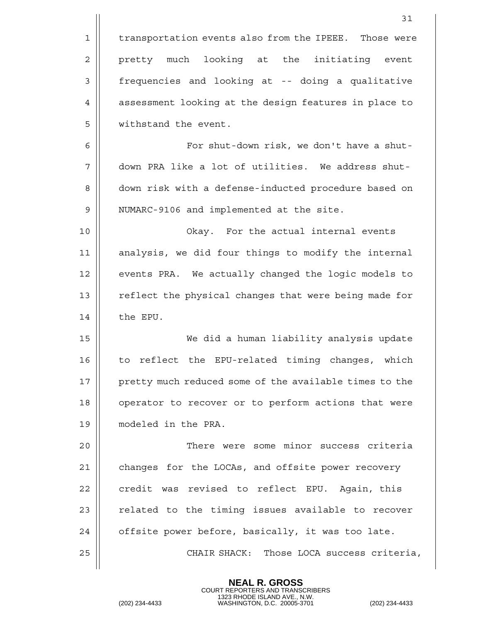|    | 31                                                     |
|----|--------------------------------------------------------|
| 1  | transportation events also from the IPEEE. Those were  |
| 2  | pretty much looking at the initiating event            |
| 3  | frequencies and looking at -- doing a qualitative      |
| 4  | assessment looking at the design features in place to  |
| 5  | withstand the event.                                   |
| 6  | For shut-down risk, we don't have a shut-              |
| 7  | down PRA like a lot of utilities. We address shut-     |
| 8  | down risk with a defense-inducted procedure based on   |
| 9  | NUMARC-9106 and implemented at the site.               |
| 10 | Okay. For the actual internal events                   |
| 11 | analysis, we did four things to modify the internal    |
| 12 | events PRA. We actually changed the logic models to    |
| 13 | reflect the physical changes that were being made for  |
| 14 | the EPU.                                               |
| 15 | We did a human liability analysis update               |
| 16 | to reflect the EPU-related timing changes, which       |
| 17 | pretty much reduced some of the available times to the |
| 18 | operator to recover or to perform actions that were    |
| 19 | modeled in the PRA.                                    |
| 20 | There were some minor success criteria                 |
| 21 | changes for the LOCAs, and offsite power recovery      |
| 22 | credit was revised to reflect EPU. Again, this         |
| 23 | related to the timing issues available to recover      |
| 24 | offsite power before, basically, it was too late.      |
| 25 | CHAIR SHACK: Those LOCA success criteria,              |
|    |                                                        |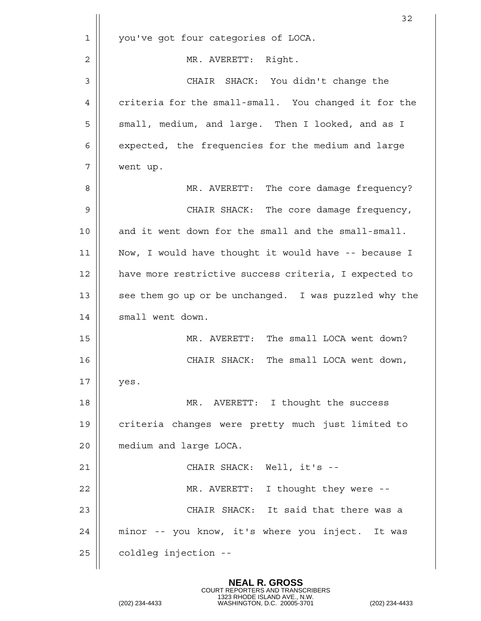|    | 32                                                    |
|----|-------------------------------------------------------|
| 1  | you've got four categories of LOCA.                   |
| 2  | MR. AVERETT: Right.                                   |
| 3  | CHAIR SHACK: You didn't change the                    |
| 4  | criteria for the small-small. You changed it for the  |
| 5  | small, medium, and large. Then I looked, and as I     |
| 6  | expected, the frequencies for the medium and large    |
| 7  | went up.                                              |
| 8  | MR. AVERETT: The core damage frequency?               |
| 9  | CHAIR SHACK: The core damage frequency,               |
| 10 | and it went down for the small and the small-small.   |
| 11 | Now, I would have thought it would have -- because I  |
| 12 | have more restrictive success criteria, I expected to |
| 13 | see them go up or be unchanged. I was puzzled why the |
| 14 | small went down.                                      |
| 15 | MR. AVERETT: The small LOCA went down?                |
| 16 | The small LOCA went down,<br>CHAIR SHACK:             |
| 17 | yes.                                                  |
| 18 | MR. AVERETT: I thought the success                    |
| 19 | criteria changes were pretty much just limited to     |
| 20 | medium and large LOCA.                                |
| 21 | CHAIR SHACK: Well, it's --                            |
| 22 | MR. AVERETT: I thought they were --                   |
| 23 | CHAIR SHACK: It said that there was a                 |
| 24 | minor -- you know, it's where you inject. It was      |
| 25 | coldleg injection --                                  |
|    |                                                       |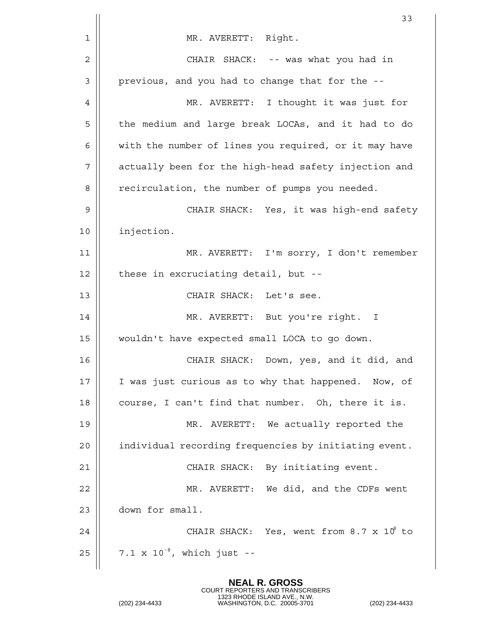|    | 33                                                    |
|----|-------------------------------------------------------|
| 1  | MR. AVERETT: Right.                                   |
| 2  | CHAIR SHACK: -- was what you had in                   |
| 3  | previous, and you had to change that for the --       |
| 4  | MR. AVERETT: I thought it was just for                |
| 5  | the medium and large break LOCAs, and it had to do    |
| 6  | with the number of lines you required, or it may have |
| 7  | actually been for the high-head safety injection and  |
| 8  | recirculation, the number of pumps you needed.        |
| 9  | CHAIR SHACK: Yes, it was high-end safety              |
| 10 | injection.                                            |
| 11 | MR. AVERETT: I'm sorry, I don't remember              |
| 12 | these in excruciating detail, but --                  |
| 13 | CHAIR SHACK: Let's see.                               |
| 14 | MR. AVERETT: But you're right. I                      |
| 15 | wouldn't have expected small LOCA to go down.         |
| 16 | Down, yes, and it did, and<br>CHAIR SHACK:            |
| 17 | I was just curious as to why that happened. Now, of   |
| 18 | course, I can't find that number. Oh, there it is.    |
| 19 | MR. AVERETT: We actually reported the                 |
| 20 | individual recording frequencies by initiating event. |
| 21 | CHAIR SHACK: By initiating event.                     |
| 22 | MR. AVERETT: We did, and the CDFs went                |
| 23 | down for small.                                       |
| 24 | CHAIR SHACK: Yes, went from $8.7 \times 10^8$ to      |
| 25 | 7.1 x $10^{-8}$ , which just --                       |
|    |                                                       |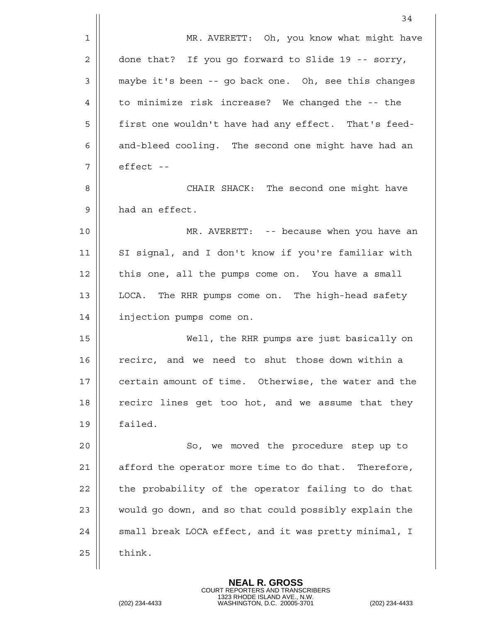|    | 34                                                    |
|----|-------------------------------------------------------|
| 1  | MR. AVERETT: Oh, you know what might have             |
| 2  | done that? If you go forward to Slide 19 -- sorry,    |
| 3  | maybe it's been -- go back one. Oh, see this changes  |
| 4  | to minimize risk increase? We changed the -- the      |
| 5  | first one wouldn't have had any effect. That's feed-  |
| 6  | and-bleed cooling. The second one might have had an   |
| 7  | effect --                                             |
| 8  | CHAIR SHACK: The second one might have                |
| 9  | had an effect.                                        |
| 10 | MR. AVERETT: -- because when you have an              |
| 11 | SI signal, and I don't know if you're familiar with   |
| 12 | this one, all the pumps come on. You have a small     |
| 13 | LOCA. The RHR pumps come on. The high-head safety     |
| 14 | injection pumps come on.                              |
| 15 | Well, the RHR pumps are just basically on             |
| 16 | recirc, and we need to shut those down within a       |
| 17 | certain amount of time. Otherwise, the water and the  |
| 18 | recirc lines get too hot, and we assume that they     |
| 19 | failed.                                               |
| 20 | So, we moved the procedure step up to                 |
| 21 | afford the operator more time to do that. Therefore,  |
| 22 | the probability of the operator failing to do that    |
| 23 | would go down, and so that could possibly explain the |
| 24 | small break LOCA effect, and it was pretty minimal, I |
| 25 | think.                                                |
|    |                                                       |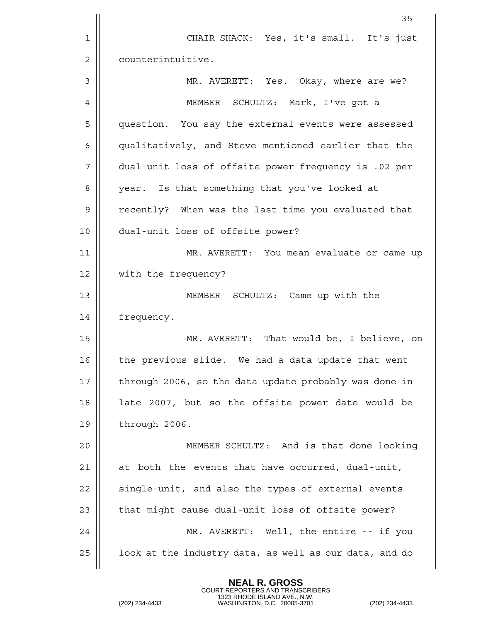|    | 35                                                     |
|----|--------------------------------------------------------|
| 1  | CHAIR SHACK: Yes, it's small. It's just                |
| 2  | counterintuitive.                                      |
| 3  | MR. AVERETT: Yes. Okay, where are we?                  |
| 4  | MEMBER SCHULTZ: Mark, I've got a                       |
| 5  | question. You say the external events were assessed    |
| 6  | qualitatively, and Steve mentioned earlier that the    |
| 7  | dual-unit loss of offsite power frequency is .02 per   |
| 8  | year. Is that something that you've looked at          |
| 9  | recently? When was the last time you evaluated that    |
| 10 | dual-unit loss of offsite power?                       |
| 11 | MR. AVERETT: You mean evaluate or came up              |
| 12 | with the frequency?                                    |
| 13 | MEMBER SCHULTZ: Came up with the                       |
| 14 | frequency.                                             |
| 15 | MR. AVERETT: That would be, I believe, on              |
| 16 | the previous slide. We had a data update that went     |
| 17 | through 2006, so the data update probably was done in  |
| 18 | late 2007, but so the offsite power date would be      |
| 19 | through 2006.                                          |
| 20 | MEMBER SCHULTZ: And is that done looking               |
| 21 | at both the events that have occurred, dual-unit,      |
| 22 | single-unit, and also the types of external events     |
| 23 | that might cause dual-unit loss of offsite power?      |
| 24 | MR. AVERETT: Well, the entire -- if you                |
| 25 | look at the industry data, as well as our data, and do |
|    |                                                        |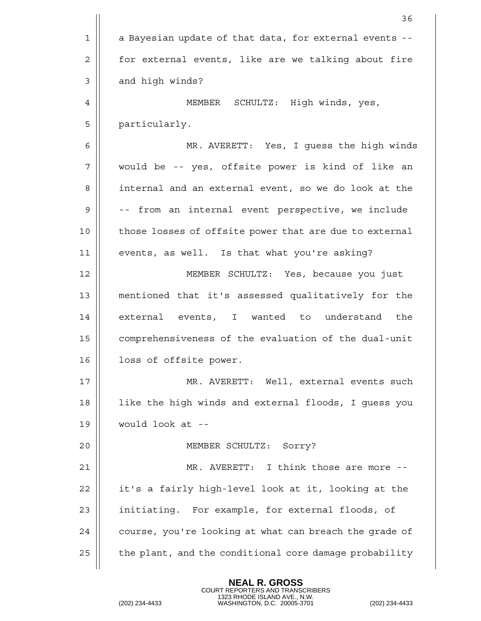|    | 36                                                     |
|----|--------------------------------------------------------|
| 1  | a Bayesian update of that data, for external events -- |
| 2  | for external events, like are we talking about fire    |
| 3  | and high winds?                                        |
| 4  | MEMBER SCHULTZ: High winds, yes,                       |
| 5  | particularly.                                          |
| 6  | MR. AVERETT: Yes, I guess the high winds               |
| 7  | would be -- yes, offsite power is kind of like an      |
| 8  | internal and an external event, so we do look at the   |
| 9  | -- from an internal event perspective, we include      |
| 10 | those losses of offsite power that are due to external |
| 11 | events, as well. Is that what you're asking?           |
| 12 | MEMBER SCHULTZ: Yes, because you just                  |
| 13 | mentioned that it's assessed qualitatively for the     |
| 14 | external events, I wanted to understand<br>the         |
| 15 | comprehensiveness of the evaluation of the dual-unit   |
| 16 | loss of offsite power.                                 |
| 17 | MR. AVERETT: Well, external events such                |
| 18 | like the high winds and external floods, I guess you   |
| 19 | would look at --                                       |
| 20 | MEMBER SCHULTZ: Sorry?                                 |
| 21 | MR. AVERETT: I think those are more --                 |
| 22 | it's a fairly high-level look at it, looking at the    |
| 23 | initiating. For example, for external floods, of       |
| 24 | course, you're looking at what can breach the grade of |
| 25 | the plant, and the conditional core damage probability |
|    |                                                        |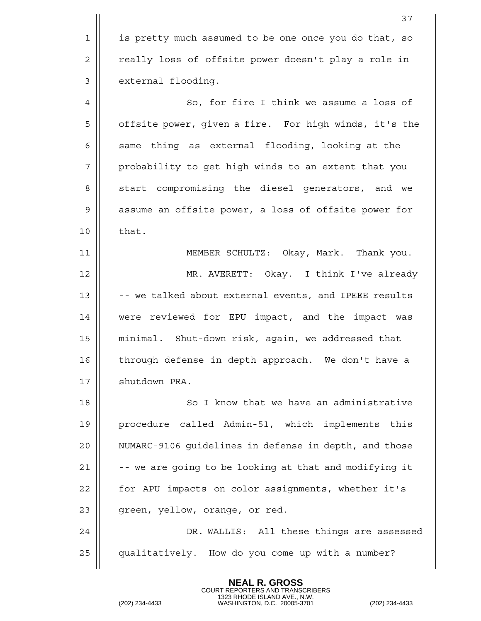1 | is pretty much assumed to be one once you do that, so 2 | really loss of offsite power doesn't play a role in 3 | external flooding. 4 | So, for fire I think we assume a loss of 5 | offsite power, given a fire. For high winds, it's the  $6 \parallel$  same thing as external flooding, looking at the  $7 \parallel$  probability to get high winds to an extent that you 8 S Start compromising the diesel generators, and we 9 || assume an offsite power, a loss of offsite power for  $10 \parallel$  that. 11 MEMBER SCHULTZ: Okay, Mark. Thank you. 12 MR. AVERETT: Okay. I think I've already 13  $\parallel$  -- we talked about external events, and IPEEE results 14 were reviewed for EPU impact, and the impact was 15 minimal. Shut-down risk, again, we addressed that 16 || through defense in depth approach. We don't have a 17 | shutdown PRA. 18 || So I know that we have an administrative 19 || procedure called Admin-51, which implements this 20 NUMARC-9106 guidelines in defense in depth, and those 21  $\parallel$  -- we are going to be looking at that and modifying it 22 | for APU impacts on color assignments, whether it's  $23$  || green, yellow, orange, or red. 24 DR. WALLIS: All these things are assessed 25 qualitatively. How do you come up with a number?

> **NEAL R. GROSS** COURT REPORTERS AND TRANSCRIBERS

1323 RHODE ISLAND AVE., N.W. (202) 234-4433 WASHINGTON, D.C. 20005-3701 (202) 234-4433

37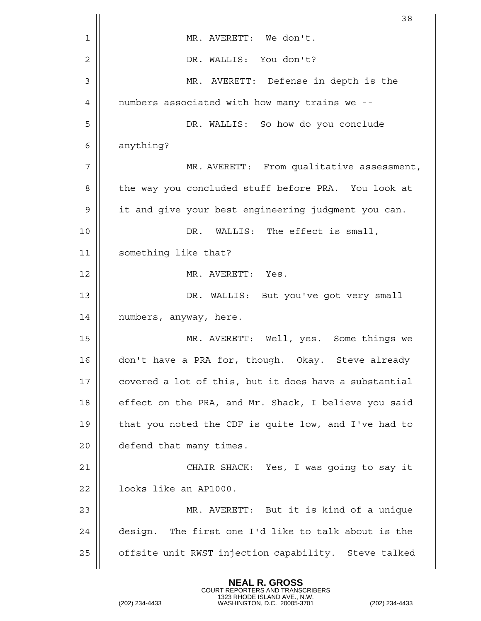|    | 38                                                    |
|----|-------------------------------------------------------|
| 1  | MR. AVERETT: We don't.                                |
| 2  | DR. WALLIS: You don't?                                |
| 3  | MR. AVERETT: Defense in depth is the                  |
| 4  | numbers associated with how many trains we --         |
| 5  | DR. WALLIS: So how do you conclude                    |
| 6  | anything?                                             |
| 7  | MR. AVERETT: From qualitative assessment,             |
| 8  | the way you concluded stuff before PRA. You look at   |
| 9  | it and give your best engineering judgment you can.   |
| 10 | DR. WALLIS: The effect is small,                      |
| 11 | something like that?                                  |
| 12 | MR. AVERETT: Yes.                                     |
| 13 | DR. WALLIS: But you've got very small                 |
| 14 | numbers, anyway, here.                                |
| 15 | MR. AVERETT: Well, yes. Some things we                |
| 16 | don't have a PRA for, though. Okay. Steve already     |
| 17 | covered a lot of this, but it does have a substantial |
| 18 | effect on the PRA, and Mr. Shack, I believe you said  |
| 19 | that you noted the CDF is quite low, and I've had to  |
| 20 | defend that many times.                               |
| 21 | CHAIR SHACK: Yes, I was going to say it               |
| 22 | looks like an AP1000.                                 |
| 23 | MR. AVERETT: But it is kind of a unique               |
| 24 | design. The first one I'd like to talk about is the   |
| 25 | offsite unit RWST injection capability. Steve talked  |
|    |                                                       |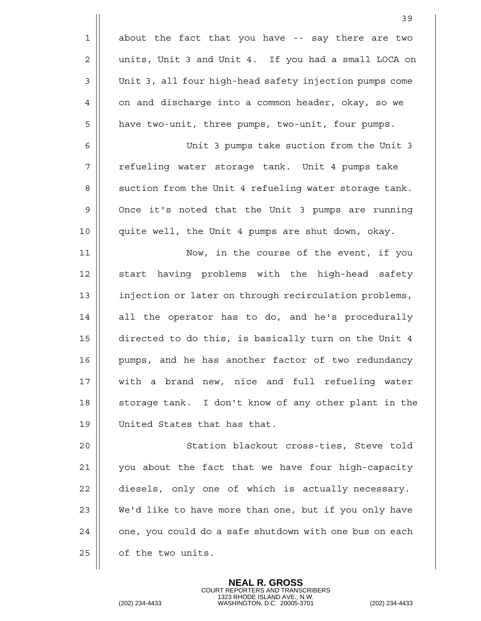|    | 39                                                     |
|----|--------------------------------------------------------|
| 1  | about the fact that you have -- say there are two      |
| 2  | units, Unit 3 and Unit 4. If you had a small LOCA on   |
| 3  | Unit 3, all four high-head safety injection pumps come |
| 4  | on and discharge into a common header, okay, so we     |
| 5  | have two-unit, three pumps, two-unit, four pumps.      |
| 6  | Unit 3 pumps take suction from the Unit 3              |
| 7  | refueling water storage tank. Unit 4 pumps take        |
| 8  | suction from the Unit 4 refueling water storage tank.  |
| 9  | Once it's noted that the Unit 3 pumps are running      |
| 10 | quite well, the Unit 4 pumps are shut down, okay.      |
| 11 | Now, in the course of the event, if you                |
| 12 | start having problems with the high-head safety        |
| 13 | injection or later on through recirculation problems,  |
| 14 | all the operator has to do, and he's procedurally      |
| 15 | directed to do this, is basically turn on the Unit 4   |
| 16 | pumps, and he has another factor of two redundancy     |
| 17 | with a brand new, nice and full refueling water        |
| 18 | storage tank. I don't know of any other plant in the   |
| 19 | United States that has that.                           |
| 20 | Station blackout cross-ties, Steve told                |
| 21 | you about the fact that we have four high-capacity     |
| 22 | diesels, only one of which is actually necessary.      |
| 23 | We'd like to have more than one, but if you only have  |
| 24 | one, you could do a safe shutdown with one bus on each |
| 25 | of the two units.                                      |
|    |                                                        |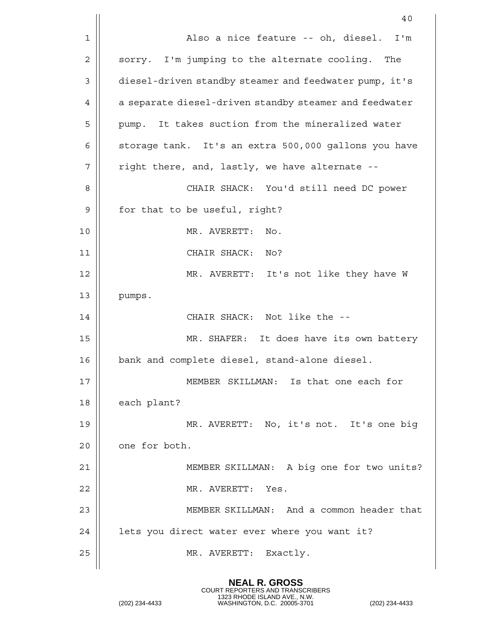|    | 40                                                     |
|----|--------------------------------------------------------|
| 1  | Also a nice feature -- oh, diesel. I'm                 |
| 2  | sorry. I'm jumping to the alternate cooling. The       |
| 3  | diesel-driven standby steamer and feedwater pump, it's |
| 4  | a separate diesel-driven standby steamer and feedwater |
| 5  | pump. It takes suction from the mineralized water      |
| 6  | storage tank. It's an extra 500,000 gallons you have   |
| 7  | right there, and, lastly, we have alternate --         |
| 8  | CHAIR SHACK: You'd still need DC power                 |
| 9  | for that to be useful, right?                          |
| 10 | MR. AVERETT: No.                                       |
| 11 | CHAIR SHACK: No?                                       |
| 12 | MR. AVERETT: It's not like they have W                 |
| 13 | pumps.                                                 |
| 14 | CHAIR SHACK: Not like the --                           |
| 15 | MR. SHAFER: It does have its own battery               |
| 16 | bank and complete diesel, stand-alone diesel.          |
| 17 | MEMBER SKILLMAN: Is that one each for                  |
| 18 | each plant?                                            |
| 19 | MR. AVERETT: No, it's not. It's one big                |
| 20 | one for both.                                          |
| 21 | MEMBER SKILLMAN: A big one for two units?              |
| 22 | MR. AVERETT: Yes.                                      |
| 23 | MEMBER SKILLMAN: And a common header that              |
| 24 | lets you direct water ever where you want it?          |
| 25 | MR. AVERETT: Exactly.                                  |
|    |                                                        |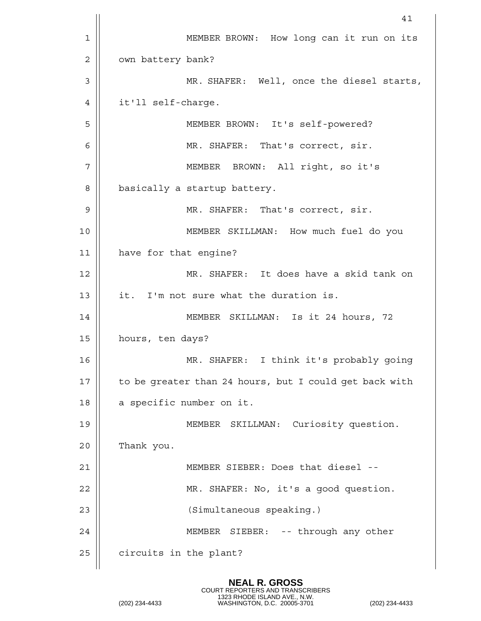|    | 41                                                     |
|----|--------------------------------------------------------|
| 1  | MEMBER BROWN: How long can it run on its               |
| 2  | own battery bank?                                      |
| 3  | MR. SHAFER: Well, once the diesel starts,              |
| 4  | it'll self-charge.                                     |
| 5  | MEMBER BROWN: It's self-powered?                       |
| 6  | MR. SHAFER: That's correct, sir.                       |
| 7  | MEMBER BROWN: All right, so it's                       |
| 8  | basically a startup battery.                           |
| 9  | MR. SHAFER: That's correct, sir.                       |
| 10 | MEMBER SKILLMAN: How much fuel do you                  |
| 11 | have for that engine?                                  |
| 12 | MR. SHAFER: It does have a skid tank on                |
| 13 | it. I'm not sure what the duration is.                 |
| 14 | MEMBER SKILLMAN: Is it 24 hours, 72                    |
| 15 | hours, ten days?                                       |
| 16 | MR. SHAFER: I think it's probably going                |
| 17 | to be greater than 24 hours, but I could get back with |
| 18 | a specific number on it.                               |
| 19 | MEMBER SKILLMAN: Curiosity question.                   |
| 20 | Thank you.                                             |
| 21 | MEMBER SIEBER: Does that diesel --                     |
| 22 | MR. SHAFER: No, it's a good question.                  |
| 23 | (Simultaneous speaking.)                               |
| 24 | MEMBER SIEBER: -- through any other                    |
| 25 | circuits in the plant?                                 |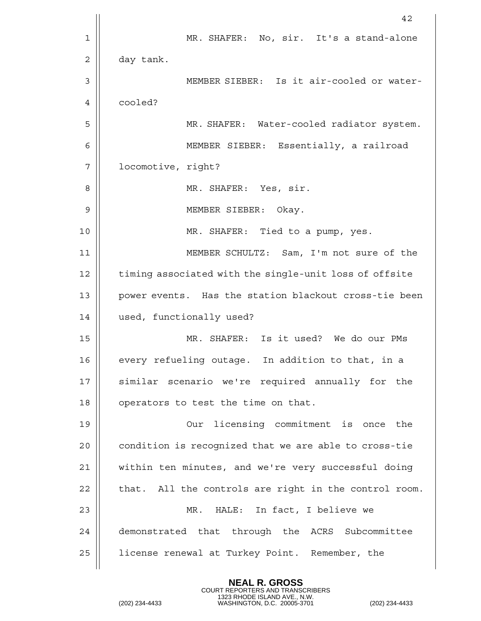|                | 42                                                     |
|----------------|--------------------------------------------------------|
| 1              | MR. SHAFER: No, sir. It's a stand-alone                |
| $\overline{2}$ | day tank.                                              |
| 3              | MEMBER SIEBER: Is it air-cooled or water-              |
| 4              | cooled?                                                |
| 5              | MR. SHAFER: Water-cooled radiator system.              |
| 6              | MEMBER SIEBER: Essentially, a railroad                 |
| 7              | locomotive, right?                                     |
| 8              | MR. SHAFER: Yes, sir.                                  |
| 9              | MEMBER SIEBER:<br>Okay.                                |
| 10             | MR. SHAFER: Tied to a pump, yes.                       |
| 11             | MEMBER SCHULTZ: Sam, I'm not sure of the               |
| 12             | timing associated with the single-unit loss of offsite |
| 13             | power events. Has the station blackout cross-tie been  |
| 14             | used, functionally used?                               |
| 15             | MR. SHAFER: Is it used? We do our PMs                  |
| 16             | every refueling outage. In addition to that, in a      |
| 17             | similar scenario we're required annually for the       |
| 18             | operators to test the time on that.                    |
| 19             | Our licensing commitment is once the                   |
| 20             | condition is recognized that we are able to cross-tie  |
| 21             | within ten minutes, and we're very successful doing    |
| 22             | that. All the controls are right in the control room.  |
| 23             | MR. HALE: In fact, I believe we                        |
| 24             | demonstrated that through the ACRS Subcommittee        |
| 25             | license renewal at Turkey Point. Remember, the         |
|                |                                                        |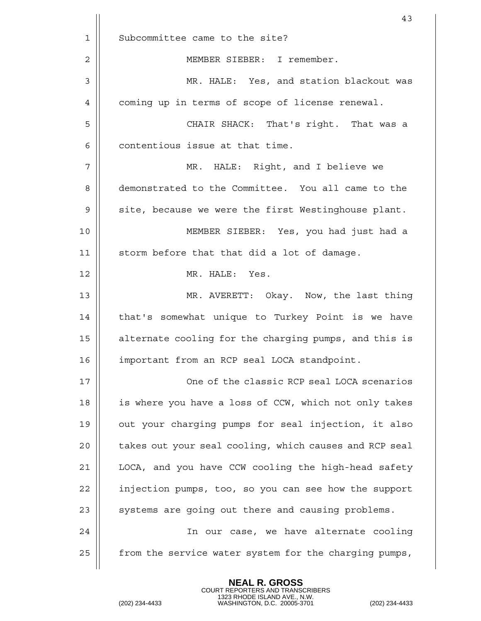|                | 43                                                     |
|----------------|--------------------------------------------------------|
| 1              | Subcommittee came to the site?                         |
| $\overline{2}$ | MEMBER SIEBER: I remember.                             |
| 3              | MR. HALE: Yes, and station blackout was                |
| 4              | coming up in terms of scope of license renewal.        |
| 5              | CHAIR SHACK: That's right. That was a                  |
| 6              | contentious issue at that time.                        |
| 7              | MR. HALE: Right, and I believe we                      |
| 8              | demonstrated to the Committee. You all came to the     |
| 9              | site, because we were the first Westinghouse plant.    |
| 10             | MEMBER SIEBER: Yes, you had just had a                 |
| 11             | storm before that that did a lot of damage.            |
| 12             | MR. HALE: Yes.                                         |
| 13             | MR. AVERETT: Okay. Now, the last thing                 |
| 14             | that's somewhat unique to Turkey Point is we have      |
| 15             | alternate cooling for the charging pumps, and this is  |
| 16             | important from an RCP seal LOCA standpoint.            |
| 17             | One of the classic RCP seal LOCA scenarios             |
| 18             | is where you have a loss of CCW, which not only takes  |
| 19             | out your charging pumps for seal injection, it also    |
| 20             | takes out your seal cooling, which causes and RCP seal |
| 21             | LOCA, and you have CCW cooling the high-head safety    |
| 22             | injection pumps, too, so you can see how the support   |
| 23             | systems are going out there and causing problems.      |
| 24             | In our case, we have alternate cooling                 |
| 25             | from the service water system for the charging pumps,  |
|                |                                                        |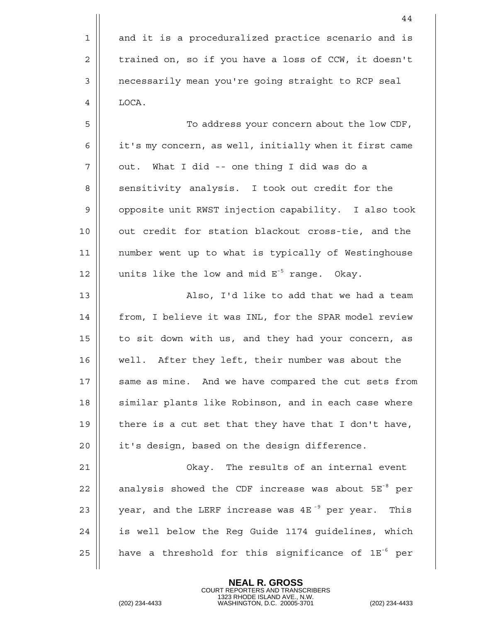1 || and it is a proceduralized practice scenario and is  $2 \parallel$  trained on, so if you have a loss of CCW, it doesn't 3 | necessarily mean you're going straight to RCP seal 4 | LOCA.

5 To address your concern about the low CDF, 6 | it's my concern, as well, initially when it first came  $7 \parallel$  out. What I did -- one thing I did was do a 8 || sensitivity analysis. I took out credit for the 9 || opposite unit RWST injection capability. I also took 10 || out credit for station blackout cross-tie, and the 11 number went up to what is typically of Westinghouse 12  $\parallel$  units like the low and mid  $E^{-5}$  range. Okay.

13 || Also, I'd like to add that we had a team 14 || from, I believe it was INL, for the SPAR model review 15 || to sit down with us, and they had your concern, as 16 well. After they left, their number was about the 17 || same as mine. And we have compared the cut sets from 18 || similar plants like Robinson, and in each case where 19  $\parallel$  there is a cut set that they have that I don't have,  $20$  || it's design, based on the design difference.

 Okay. The results of an internal event  $\parallel$  analysis showed the CDF increase was about  $5E^{-8}$  per  $\parallel$  year, and the LERF increase was 4E<sup>-9</sup> per year. This 24 || is well below the Req Guide 1174 quidelines, which  $\parallel$  have a threshold for this significance of 1E<sup>-6</sup> per

**NEAL R. GROSS**

COURT REPORTERS AND TRANSCRIBERS 1323 RHODE ISLAND AVE., N.W. (202) 234-4433 WASHINGTON, D.C. 20005-3701 (202) 234-4433

44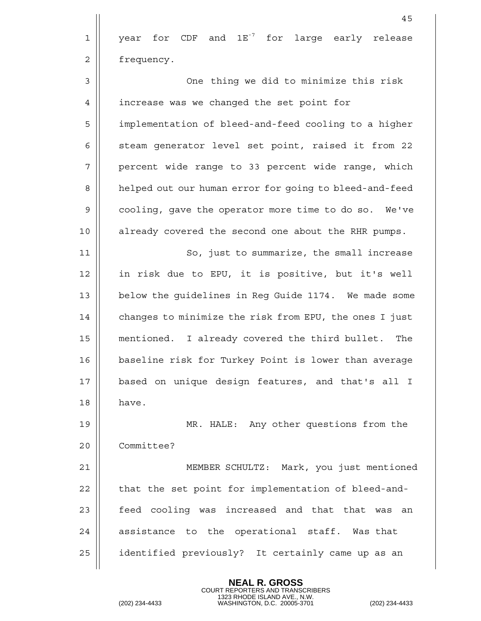|                | 45                                                     |
|----------------|--------------------------------------------------------|
| 1              | year for $CDF$ and $1E7$ for large early release       |
| $\overline{2}$ | frequency.                                             |
| 3              | One thing we did to minimize this risk                 |
| 4              | increase was we changed the set point for              |
| 5              | implementation of bleed-and-feed cooling to a higher   |
| 6              | steam generator level set point, raised it from 22     |
| 7              | percent wide range to 33 percent wide range, which     |
| 8              | helped out our human error for going to bleed-and-feed |
| 9              | cooling, gave the operator more time to do so. We've   |
| 10             | already covered the second one about the RHR pumps.    |
| 11             | So, just to summarize, the small increase              |
| 12             | in risk due to EPU, it is positive, but it's well      |
| 13             | below the guidelines in Reg Guide 1174. We made some   |
| 14             | changes to minimize the risk from EPU, the ones I just |
| 15             | mentioned. I already covered the third bullet.<br>The  |
| 16             | baseline risk for Turkey Point is lower than average   |
| 17             | based on unique design features, and that's all I      |
| 18             | have.                                                  |
| 19             | MR. HALE: Any other questions from the                 |
| 20             | Committee?                                             |
| 21             | MEMBER SCHULTZ: Mark, you just mentioned               |
| 22             | that the set point for implementation of bleed-and-    |
| 23             | feed cooling was increased and that that was an        |
| 24             | assistance to the operational staff. Was that          |
| 25             | identified previously? It certainly came up as an      |
|                |                                                        |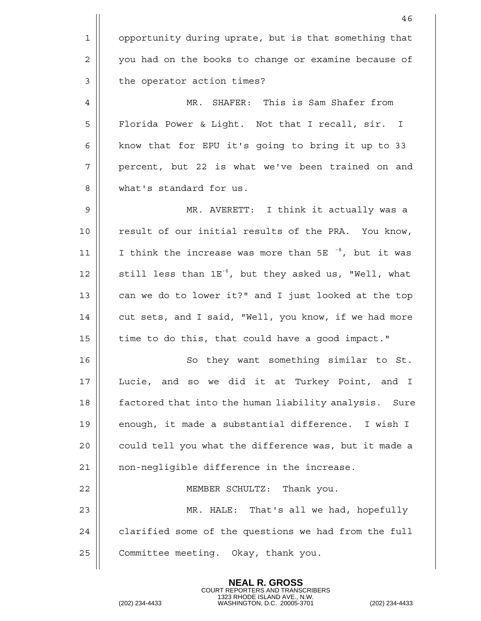|             | 46                                                                |
|-------------|-------------------------------------------------------------------|
| $\mathbf 1$ | opportunity during uprate, but is that something that             |
| 2           | you had on the books to change or examine because of              |
| 3           | the operator action times?                                        |
| 4           | MR. SHAFER: This is Sam Shafer from                               |
| 5           | Florida Power & Light. Not that I recall, sir. I                  |
| 6           | know that for EPU it's going to bring it up to 33                 |
| 7           | percent, but 22 is what we've been trained on and                 |
| 8           | what's standard for us.                                           |
| 9           | MR. AVERETT: I think it actually was a                            |
| 10          | result of our initial results of the PRA. You know,               |
| 11          | I think the increase was more than 5E <sup>-8</sup> , but it was  |
| 12          | still less than 1E <sup>-6</sup> , but they asked us, "Well, what |
| 13          | can we do to lower it?" and I just looked at the top              |
| 14          | cut sets, and I said, "Well, you know, if we had more             |
| 15          | time to do this, that could have a good impact."                  |
| 16          | So they want something similar to St.                             |
| 17          | Lucie, and so we did it at Turkey Point, and I                    |
| 18          | factored that into the human liability analysis. Sure             |
| 19          | enough, it made a substantial difference. I wish I                |
| 20          | could tell you what the difference was, but it made a             |
| 21          | non-negligible difference in the increase.                        |
| 22          | MEMBER SCHULTZ: Thank you.                                        |
| 23          | MR. HALE: That's all we had, hopefully                            |
| 24          | clarified some of the questions we had from the full              |
| 25          | Committee meeting. Okay, thank you.                               |
|             |                                                                   |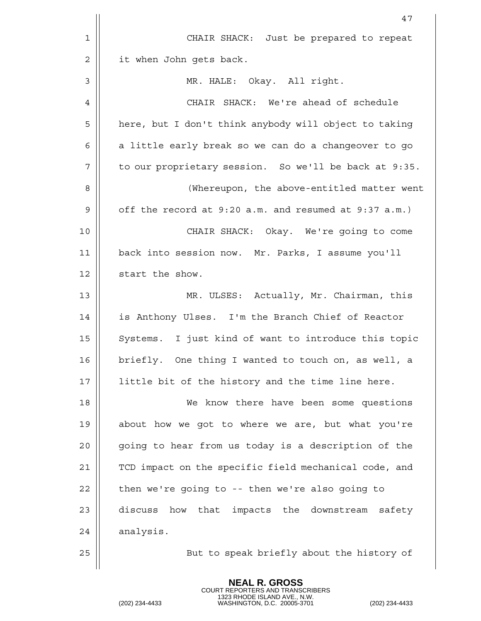|                | 47                                                    |
|----------------|-------------------------------------------------------|
| 1              | CHAIR SHACK: Just be prepared to repeat               |
| $\overline{2}$ | it when John gets back.                               |
| 3              | MR. HALE: Okay. All right.                            |
| 4              | CHAIR SHACK: We're ahead of schedule                  |
| 5              | here, but I don't think anybody will object to taking |
| 6              | a little early break so we can do a changeover to go  |
| 7              | to our proprietary session. So we'll be back at 9:35. |
| 8              | (Whereupon, the above-entitled matter went            |
| 9              | off the record at 9:20 a.m. and resumed at 9:37 a.m.) |
| 10             | CHAIR SHACK: Okay. We're going to come                |
| 11             | back into session now. Mr. Parks, I assume you'll     |
| 12             | start the show.                                       |
| 13             | MR. ULSES: Actually, Mr. Chairman, this               |
| 14             | is Anthony Ulses. I'm the Branch Chief of Reactor     |
| 15             | Systems. I just kind of want to introduce this topic  |
| 16             | briefly. One thing I wanted to touch on, as well, a   |
| 17             | little bit of the history and the time line here.     |
| 18             | We know there have been some questions                |
| 19             | about how we got to where we are, but what you're     |
| 20             | going to hear from us today is a description of the   |
| 21             | TCD impact on the specific field mechanical code, and |
| 22             | then we're going to -- then we're also going to       |
| 23             | how that impacts the downstream safety<br>discuss     |
| 24             | analysis.                                             |
| 25             | But to speak briefly about the history of             |
|                |                                                       |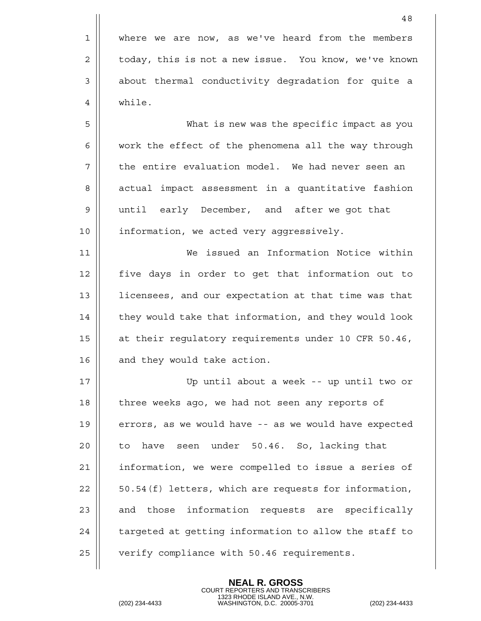|                | 48                                                    |
|----------------|-------------------------------------------------------|
| 1              | where we are now, as we've heard from the members     |
| 2              | today, this is not a new issue. You know, we've known |
| 3              | about thermal conductivity degradation for quite a    |
| 4              | while.                                                |
| 5              | What is new was the specific impact as you            |
| 6              | work the effect of the phenomena all the way through  |
| 7              | the entire evaluation model. We had never seen an     |
| 8              | actual impact assessment in a quantitative fashion    |
| $\overline{9}$ | until early December, and after we got that           |
| 10             | information, we acted very aggressively.              |
| 11             | We issued an Information Notice within                |
| 12             | five days in order to get that information out to     |
| 13             | licensees, and our expectation at that time was that  |
| 14             | they would take that information, and they would look |
| 15             | at their regulatory requirements under 10 CFR 50.46,  |
| 16             | and they would take action.                           |
| 17             | Up until about a week -- up until two or              |
| 18             | three weeks ago, we had not seen any reports of       |
| 19             | errors, as we would have -- as we would have expected |
| 20             | have seen<br>under 50.46. So, lacking that<br>to      |
| 21             | information, we were compelled to issue a series of   |
| 22             | 50.54(f) letters, which are requests for information, |
| 23             | and those information requests are specifically       |
| 24             | targeted at getting information to allow the staff to |
| 25             | verify compliance with 50.46 requirements.            |
|                |                                                       |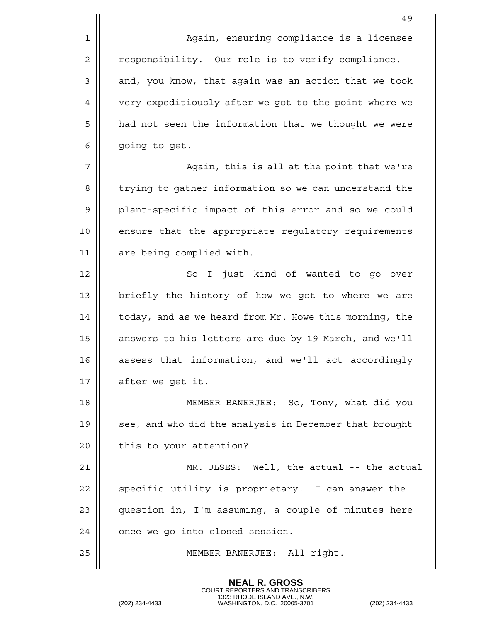49 1 | Again, ensuring compliance is a licensee 2 | responsibility. Our role is to verify compliance,  $3 \parallel$  and, you know, that again was an action that we took 4 | very expeditiously after we got to the point where we 5 | had not seen the information that we thought we were  $6 \parallel$  going to get. 7 Again, this is all at the point that we're 8 | trying to gather information so we can understand the 9 || plant-specific impact of this error and so we could 10 || ensure that the appropriate regulatory requirements 11 || are being complied with. 12 || So I just kind of wanted to go over 13 || briefly the history of how we got to where we are 14 | today, and as we heard from Mr. Howe this morning, the 15 | answers to his letters are due by 19 March, and we'll 16 assess that information, and we'll act accordingly 17 | after we get it. 18 MEMBER BANERJEE: So, Tony, what did you 19 || see, and who did the analysis in December that brought  $20$  | this to your attention? 21 MR. ULSES: Well, the actual -- the actual  $22$   $\parallel$  specific utility is proprietary. I can answer the

 $24$  |  $\circ$  once we go into closed session.

25 MEMBER BANERJEE: All right.

23 || question in, I'm assuming, a couple of minutes here

**NEAL R. GROSS** COURT REPORTERS AND TRANSCRIBERS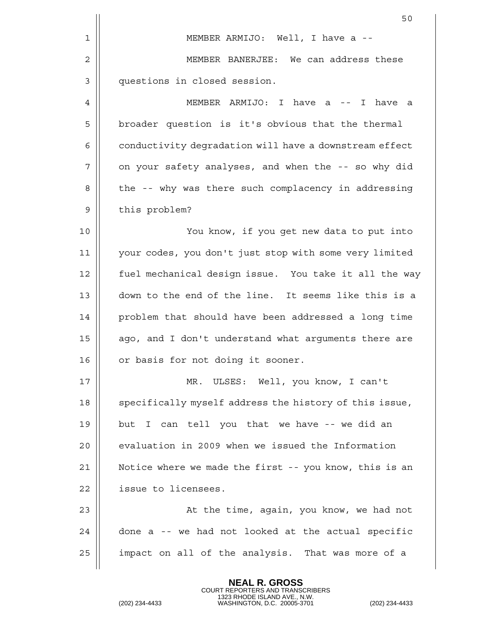|    | 50                                                     |
|----|--------------------------------------------------------|
| 1  | MEMBER ARMIJO: Well, I have a --                       |
| 2  | MEMBER BANERJEE: We can address these                  |
| 3  | questions in closed session.                           |
| 4  | MEMBER ARMIJO: I have a -- I have a                    |
| 5  | broader question is it's obvious that the thermal      |
| 6  | conductivity degradation will have a downstream effect |
| 7  | on your safety analyses, and when the -- so why did    |
| 8  | the -- why was there such complacency in addressing    |
| 9  | this problem?                                          |
| 10 | You know, if you get new data to put into              |
| 11 | your codes, you don't just stop with some very limited |
| 12 | fuel mechanical design issue. You take it all the way  |
| 13 | down to the end of the line. It seems like this is a   |
| 14 | problem that should have been addressed a long time    |
| 15 | ago, and I don't understand what arguments there are   |
| 16 | or basis for not doing it sooner.                      |
| 17 | MR. ULSES: Well, you know, I can't                     |
| 18 | specifically myself address the history of this issue, |
| 19 | but I can tell you that we have -- we did an           |
| 20 | evaluation in 2009 when we issued the Information      |
| 21 | Notice where we made the first -- you know, this is an |
| 22 | issue to licensees.                                    |
| 23 | At the time, again, you know, we had not               |
| 24 | done a -- we had not looked at the actual specific     |
| 25 | impact on all of the analysis. That was more of a      |
|    |                                                        |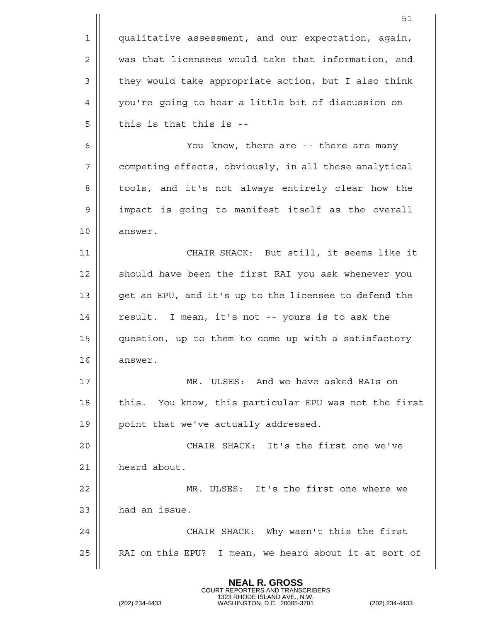|              | 51                                                    |
|--------------|-------------------------------------------------------|
| $\mathbf{1}$ | qualitative assessment, and our expectation, again,   |
| 2            | was that licensees would take that information, and   |
| 3            | they would take appropriate action, but I also think  |
| 4            | you're going to hear a little bit of discussion on    |
| 5            | this is that this is --                               |
| 6            | You know, there are -- there are many                 |
| 7            | competing effects, obviously, in all these analytical |
| 8            | tools, and it's not always entirely clear how the     |
| 9            | impact is going to manifest itself as the overall     |
| 10           | answer.                                               |
| 11           | CHAIR SHACK: But still, it seems like it              |
| 12           | should have been the first RAI you ask whenever you   |
| 13           | get an EPU, and it's up to the licensee to defend the |
| 14           | result. I mean, it's not -- yours is to ask the       |
| 15           | question, up to them to come up with a satisfactory   |
| 16           | answer.                                               |
| 17           | MR. ULSES: And we have asked RAIs on                  |
| 18           | this. You know, this particular EPU was not the first |
| 19           | point that we've actually addressed.                  |
| 20           | CHAIR SHACK: It's the first one we've                 |
| 21           | heard about.                                          |
| 22           | MR. ULSES: It's the first one where we                |
| 23           | had an issue.                                         |
| 24           | CHAIR SHACK: Why wasn't this the first                |
| 25           | RAI on this EPU? I mean, we heard about it at sort of |
|              |                                                       |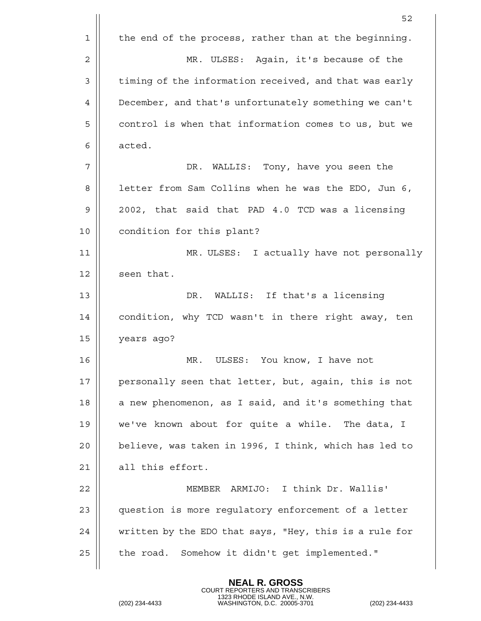|    | 52                                                     |  |  |
|----|--------------------------------------------------------|--|--|
| 1  | the end of the process, rather than at the beginning.  |  |  |
| 2  | MR. ULSES: Again, it's because of the                  |  |  |
| 3  | timing of the information received, and that was early |  |  |
| 4  | December, and that's unfortunately something we can't  |  |  |
| 5  | control is when that information comes to us, but we   |  |  |
| 6  | acted.                                                 |  |  |
| 7  | DR. WALLIS: Tony, have you seen the                    |  |  |
| 8  | letter from Sam Collins when he was the EDO, Jun 6,    |  |  |
| 9  | 2002, that said that PAD 4.0 TCD was a licensing       |  |  |
| 10 | condition for this plant?                              |  |  |
| 11 | MR. ULSES: I actually have not personally              |  |  |
| 12 | seen that.                                             |  |  |
| 13 | DR.<br>WALLIS: If that's a licensing                   |  |  |
| 14 | condition, why TCD wasn't in there right away, ten     |  |  |
| 15 | years ago?                                             |  |  |
| 16 | ULSES: You know, I have not<br>MR.                     |  |  |
| 17 | personally seen that letter, but, again, this is not   |  |  |
| 18 | a new phenomenon, as I said, and it's something that   |  |  |
| 19 | we've known about for quite a while. The data, I       |  |  |
| 20 | believe, was taken in 1996, I think, which has led to  |  |  |
| 21 | all this effort.                                       |  |  |
| 22 | ARMIJO: I think Dr. Wallis'<br>MEMBER                  |  |  |
| 23 | question is more regulatory enforcement of a letter    |  |  |
| 24 | written by the EDO that says, "Hey, this is a rule for |  |  |
| 25 | the road. Somehow it didn't get implemented."          |  |  |
|    |                                                        |  |  |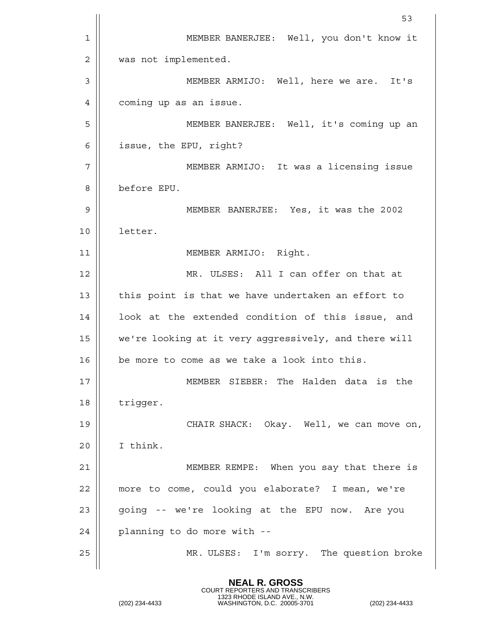|    | 53                                                    |  |  |  |
|----|-------------------------------------------------------|--|--|--|
| 1  | MEMBER BANERJEE: Well, you don't know it              |  |  |  |
| 2  | was not implemented.                                  |  |  |  |
| 3  | MEMBER ARMIJO: Well, here we are. It's                |  |  |  |
| 4  | coming up as an issue.                                |  |  |  |
| 5  | MEMBER BANERJEE: Well, it's coming up an              |  |  |  |
| 6  | issue, the EPU, right?                                |  |  |  |
| 7  | MEMBER ARMIJO: It was a licensing issue               |  |  |  |
| 8  | before EPU.                                           |  |  |  |
| 9  | MEMBER BANERJEE: Yes, it was the 2002                 |  |  |  |
| 10 | letter.                                               |  |  |  |
| 11 | MEMBER ARMIJO: Right.                                 |  |  |  |
| 12 | MR. ULSES: All I can offer on that at                 |  |  |  |
| 13 | this point is that we have undertaken an effort to    |  |  |  |
| 14 | look at the extended condition of this issue, and     |  |  |  |
| 15 | we're looking at it very aggressively, and there will |  |  |  |
| 16 | be more to come as we take a look into this.          |  |  |  |
| 17 | MEMBER SIEBER: The Halden data is the                 |  |  |  |
| 18 | trigger.                                              |  |  |  |
| 19 | CHAIR SHACK: Okay. Well, we can move on,              |  |  |  |
| 20 | I think.                                              |  |  |  |
| 21 | MEMBER REMPE: When you say that there is              |  |  |  |
| 22 | more to come, could you elaborate? I mean, we're      |  |  |  |
| 23 | going -- we're looking at the EPU now. Are you        |  |  |  |
| 24 | planning to do more with --                           |  |  |  |
| 25 | MR. ULSES: I'm sorry. The question broke              |  |  |  |
|    |                                                       |  |  |  |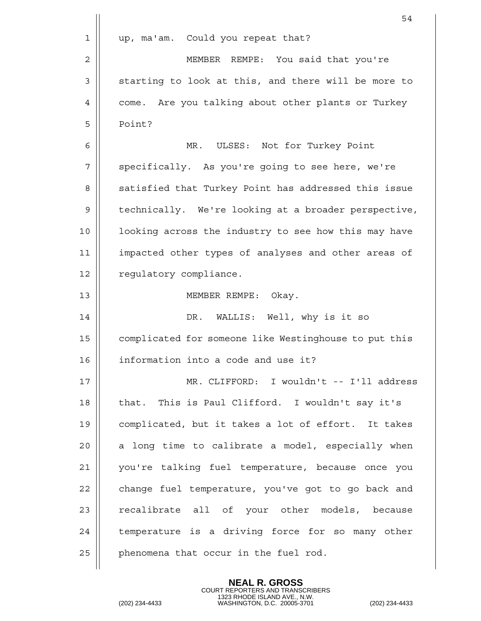|    | 54                                                    |  |  |  |
|----|-------------------------------------------------------|--|--|--|
| 1  | up, ma'am. Could you repeat that?                     |  |  |  |
| 2  | MEMBER REMPE: You said that you're                    |  |  |  |
| 3  | starting to look at this, and there will be more to   |  |  |  |
| 4  | come. Are you talking about other plants or Turkey    |  |  |  |
| 5  | Point?                                                |  |  |  |
| 6  | MR. ULSES: Not for Turkey Point                       |  |  |  |
| 7  | specifically. As you're going to see here, we're      |  |  |  |
| 8  | satisfied that Turkey Point has addressed this issue  |  |  |  |
| 9  | technically. We're looking at a broader perspective,  |  |  |  |
| 10 | looking across the industry to see how this may have  |  |  |  |
| 11 | impacted other types of analyses and other areas of   |  |  |  |
| 12 | regulatory compliance.                                |  |  |  |
| 13 | MEMBER REMPE: Okay.                                   |  |  |  |
| 14 | DR. WALLIS: Well, why is it so                        |  |  |  |
| 15 | complicated for someone like Westinghouse to put this |  |  |  |
| 16 | information into a code and use it?                   |  |  |  |
| 17 | MR. CLIFFORD: I wouldn't -- I'll address              |  |  |  |
| 18 | that. This is Paul Clifford. I wouldn't say it's      |  |  |  |
| 19 | complicated, but it takes a lot of effort. It takes   |  |  |  |
| 20 | a long time to calibrate a model, especially when     |  |  |  |
| 21 | you're talking fuel temperature, because once you     |  |  |  |
| 22 | change fuel temperature, you've got to go back and    |  |  |  |
| 23 | recalibrate all of your other models, because         |  |  |  |
| 24 | temperature is a driving force for so many other      |  |  |  |
| 25 | phenomena that occur in the fuel rod.                 |  |  |  |
|    |                                                       |  |  |  |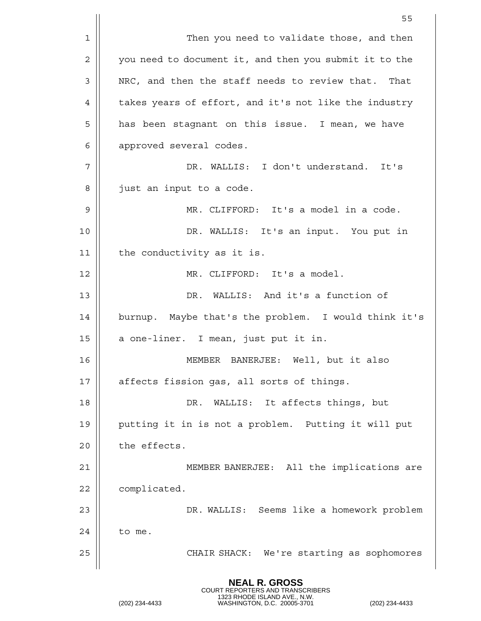|                | 55                                                     |  |  |  |
|----------------|--------------------------------------------------------|--|--|--|
| 1              | Then you need to validate those, and then              |  |  |  |
| $\overline{2}$ | you need to document it, and then you submit it to the |  |  |  |
| 3              | NRC, and then the staff needs to review that. That     |  |  |  |
| 4              | takes years of effort, and it's not like the industry  |  |  |  |
| 5              | has been stagnant on this issue. I mean, we have       |  |  |  |
| 6              | approved several codes.                                |  |  |  |
| 7              | DR. WALLIS: I don't understand. It's                   |  |  |  |
| 8              | just an input to a code.                               |  |  |  |
| 9              | MR. CLIFFORD: It's a model in a code.                  |  |  |  |
| 10             | DR. WALLIS: It's an input. You put in                  |  |  |  |
| 11             | the conductivity as it is.                             |  |  |  |
| 12             | MR. CLIFFORD: It's a model.                            |  |  |  |
| 13             | DR. WALLIS: And it's a function of                     |  |  |  |
| 14             | burnup. Maybe that's the problem. I would think it's   |  |  |  |
| 15             | a one-liner. I mean, just put it in.                   |  |  |  |
| 16             | BANERJEE:<br>Well, but it also<br>MEMBER               |  |  |  |
| 17             | affects fission gas, all sorts of things.              |  |  |  |
| 18             | DR.<br>WALLIS: It affects things, but                  |  |  |  |
| 19             | putting it in is not a problem. Putting it will put    |  |  |  |
| 20             | the effects.                                           |  |  |  |
| 21             | MEMBER BANERJEE: All the implications are              |  |  |  |
| 22             | complicated.                                           |  |  |  |
| 23             | DR. WALLIS: Seems like a homework problem              |  |  |  |
| 24             | to me.                                                 |  |  |  |
| 25             | CHAIR SHACK: We're starting as sophomores              |  |  |  |
|                |                                                        |  |  |  |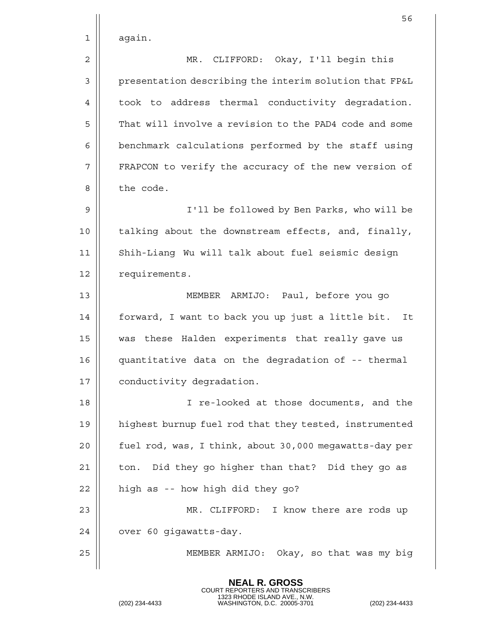|    | 56                                                     |  |  |  |
|----|--------------------------------------------------------|--|--|--|
| 1  | again.                                                 |  |  |  |
| 2  | MR. CLIFFORD: Okay, I'll begin this                    |  |  |  |
| 3  | presentation describing the interim solution that FP&L |  |  |  |
| 4  | took to address thermal conductivity degradation.      |  |  |  |
| 5  | That will involve a revision to the PAD4 code and some |  |  |  |
| 6  | benchmark calculations performed by the staff using    |  |  |  |
| 7  | FRAPCON to verify the accuracy of the new version of   |  |  |  |
| 8  | the code.                                              |  |  |  |
| 9  | I'll be followed by Ben Parks, who will be             |  |  |  |
| 10 | talking about the downstream effects, and, finally,    |  |  |  |
| 11 | Shih-Liang Wu will talk about fuel seismic design      |  |  |  |
| 12 | requirements.                                          |  |  |  |
| 13 | MEMBER ARMIJO: Paul, before you go                     |  |  |  |
| 14 | forward, I want to back you up just a little bit. It   |  |  |  |
| 15 | was these Halden experiments that really gave us       |  |  |  |
| 16 | quantitative data on the degradation of -- thermal     |  |  |  |
| 17 | conductivity degradation.                              |  |  |  |
| 18 | re-looked at those documents, and the<br>I.            |  |  |  |
| 19 | highest burnup fuel rod that they tested, instrumented |  |  |  |
| 20 | fuel rod, was, I think, about 30,000 megawatts-day per |  |  |  |
| 21 | Did they go higher than that? Did they go as<br>ton.   |  |  |  |
| 22 | high as -- how high did they go?                       |  |  |  |
| 23 | MR. CLIFFORD: I know there are rods up                 |  |  |  |
| 24 | over 60 gigawatts-day.                                 |  |  |  |
| 25 | MEMBER ARMIJO: Okay, so that was my big                |  |  |  |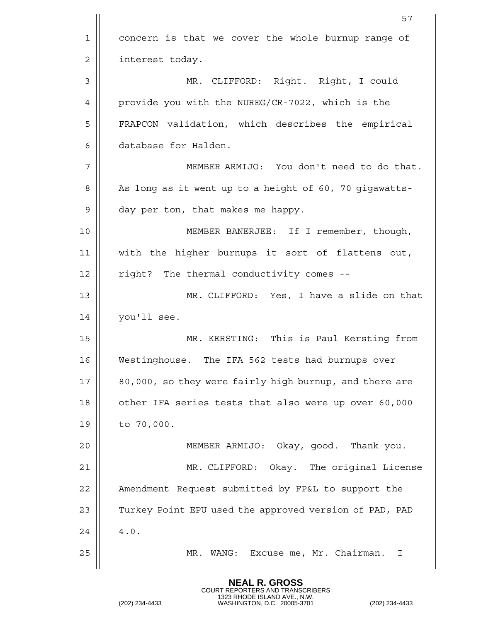|                | 57                                                     |  |  |  |
|----------------|--------------------------------------------------------|--|--|--|
| 1              | concern is that we cover the whole burnup range of     |  |  |  |
| $\overline{2}$ | interest today.                                        |  |  |  |
| 3              | MR. CLIFFORD: Right. Right, I could                    |  |  |  |
| 4              | provide you with the NUREG/CR-7022, which is the       |  |  |  |
| 5              | FRAPCON validation, which describes the empirical      |  |  |  |
| 6              | database for Halden.                                   |  |  |  |
| 7              | MEMBER ARMIJO: You don't need to do that.              |  |  |  |
| 8              | As long as it went up to a height of 60, 70 gigawatts- |  |  |  |
| $\mathsf 9$    | day per ton, that makes me happy.                      |  |  |  |
| 10             | MEMBER BANERJEE: If I remember, though,                |  |  |  |
| 11             | with the higher burnups it sort of flattens out,       |  |  |  |
| 12             | right? The thermal conductivity comes --               |  |  |  |
| 13             | MR. CLIFFORD: Yes, I have a slide on that              |  |  |  |
| 14             | you'll see.                                            |  |  |  |
| 15             | MR. KERSTING: This is Paul Kersting from               |  |  |  |
| 16             | Westinghouse. The IFA 562 tests had burnups over       |  |  |  |
| 17             | 80,000, so they were fairly high burnup, and there are |  |  |  |
| 18             | other IFA series tests that also were up over 60,000   |  |  |  |
| 19             | to 70,000.                                             |  |  |  |
| 20             | MEMBER ARMIJO: Okay, good. Thank you.                  |  |  |  |
| 21             | MR. CLIFFORD: Okay. The original License               |  |  |  |
| 22             | Amendment Request submitted by FP&L to support the     |  |  |  |
| 23             | Turkey Point EPU used the approved version of PAD, PAD |  |  |  |
| 24             | $4.0.$                                                 |  |  |  |
| 25             | Excuse me, Mr. Chairman.<br>MR. WANG:<br>T             |  |  |  |
|                |                                                        |  |  |  |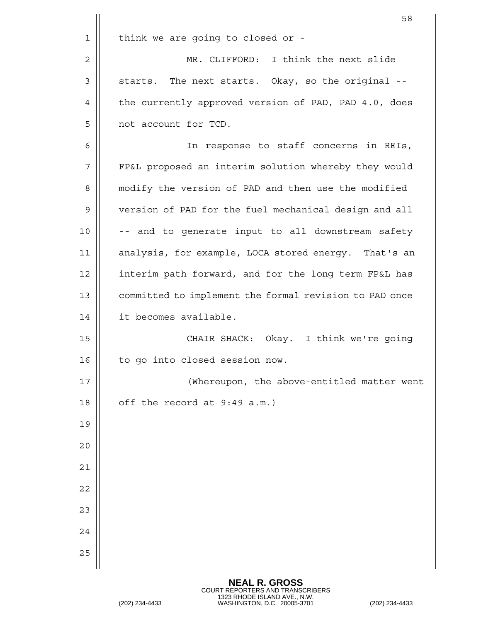|    | 58                                                     |  |  |  |
|----|--------------------------------------------------------|--|--|--|
| 1  | think we are going to closed or -                      |  |  |  |
| 2  | MR. CLIFFORD: I think the next slide                   |  |  |  |
| 3  | starts. The next starts. Okay, so the original --      |  |  |  |
| 4  | the currently approved version of PAD, PAD 4.0, does   |  |  |  |
| 5  | not account for TCD.                                   |  |  |  |
| 6  | In response to staff concerns in REIs,                 |  |  |  |
| 7  | FP&L proposed an interim solution whereby they would   |  |  |  |
| 8  | modify the version of PAD and then use the modified    |  |  |  |
| 9  | version of PAD for the fuel mechanical design and all  |  |  |  |
| 10 | -- and to generate input to all downstream safety      |  |  |  |
| 11 | analysis, for example, LOCA stored energy. That's an   |  |  |  |
| 12 | interim path forward, and for the long term FP&L has   |  |  |  |
| 13 | committed to implement the formal revision to PAD once |  |  |  |
| 14 | it becomes available.                                  |  |  |  |
| 15 | CHAIR SHACK: Okay. I think we're going                 |  |  |  |
| 16 | to go into closed session now.                         |  |  |  |
| 17 | (Whereupon, the above-entitled matter went             |  |  |  |
| 18 | off the record at 9:49 a.m.)                           |  |  |  |
| 19 |                                                        |  |  |  |
| 20 |                                                        |  |  |  |
| 21 |                                                        |  |  |  |
| 22 |                                                        |  |  |  |
| 23 |                                                        |  |  |  |
| 24 |                                                        |  |  |  |
| 25 |                                                        |  |  |  |
|    |                                                        |  |  |  |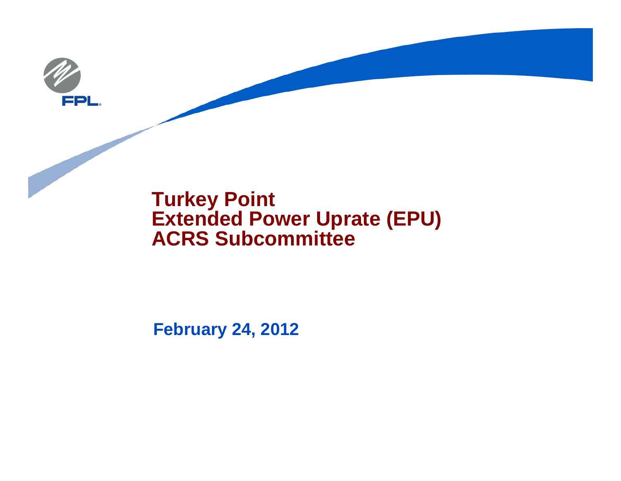

#### **Turkey Point Extended Power Uprate (EPU) ACRS Subcommittee**

**February 24, 2012**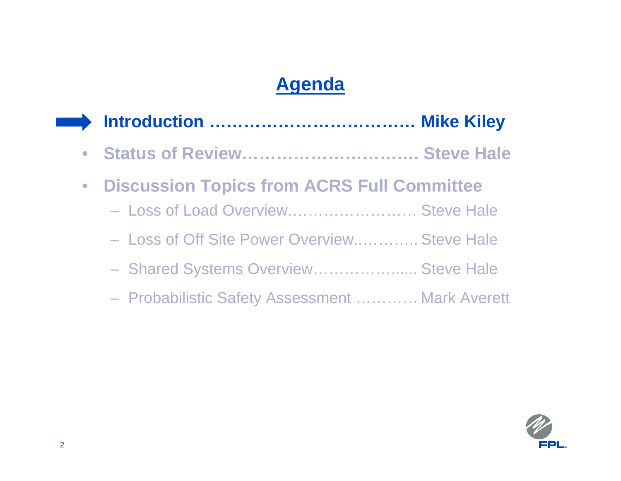# **Agenda**

| • Status of Review Steve Hale                   |  |
|-------------------------------------------------|--|
| • Discussion Topics from ACRS Full Committee    |  |
| - Loss of Load Overview Steve Hale              |  |
| - Loss of Off Site Power Overview Steve Hale    |  |
| - Shared Systems Overview Steve Hale            |  |
| - Probabilistic Safety Assessment  Mark Averett |  |

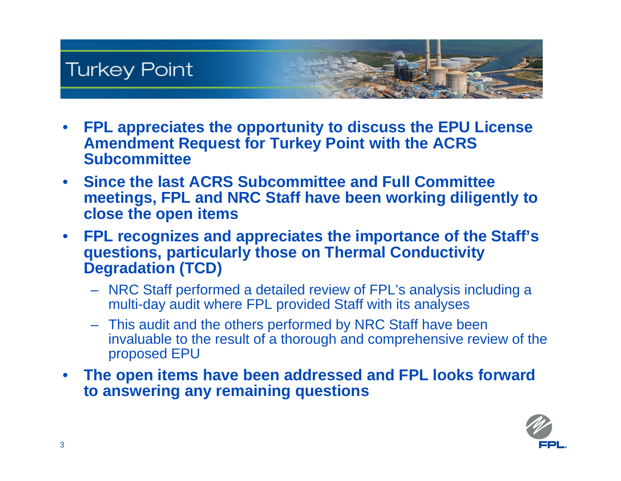

- $\bullet$  **FPL appreciates the opportunity to discuss the EPU License Amendment Request for Turkey Point with the ACRS Subcommittee**
- $\bullet$  **Since the last ACRS Subcommittee and Full Committee meetings, FPL and NRC Staff have been working diligently to close the open items**
- $\bullet$  **FPL recognizes and appreciates the importance of the Staff's questions, particularly those on Thermal Conductivity Degradation (TCD)**
	- NRC Staff performed a detailed review of FPL's analysis including a multi-day audit where FPL provided Staff with its analyses
	- This audit and the others performed by NRC Staff have been invaluable to the result of a thorough and comprehensive review of the proposed EPU
- $\bullet$  **The open items have been addressed and FPL looks forward to answering any remaining questions**

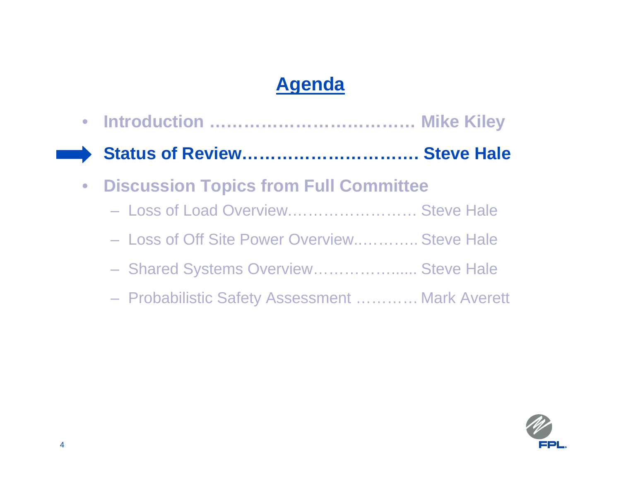# **Agenda**

 $\bullet$  **Introduction ……………………………… Mike Kiley Status of Review…………………………. Steve Hale**  $\bullet$  **Discussion Topics from Full Committee** – Loss of Load Overview.…………………… Steve Hale– Loss of Off Site Power Overview..……….. Steve Hale Shared Systems Overview....................... Steve Hale Probabilistic Safety Assessment ………… Mark Averett

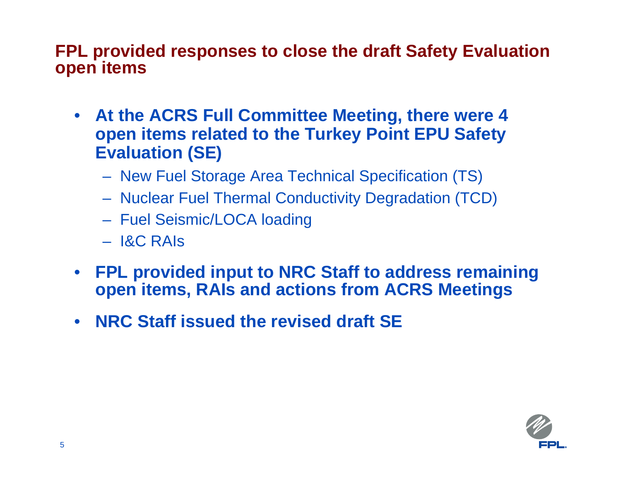#### **FPL provided responses to close the draft Safety Evaluation open items**

- **At the ACRS Full Committee Meeting, there were 4 open items related to the Turkey Point EPU Safety Evaluation (SE)**
	- New Fuel Storage Area Technical Specification (TS)
	- Nuclear Fuel Thermal Conductivity Degradation (TCD)
	- Fuel Seismic/LOCA loading
	- I&C RAIs
- **FPL provided input to NRC Staff to address remaining open items, RAIs and actions from ACRS Meetings**
- **NRC Staff issued the revised draft SE**

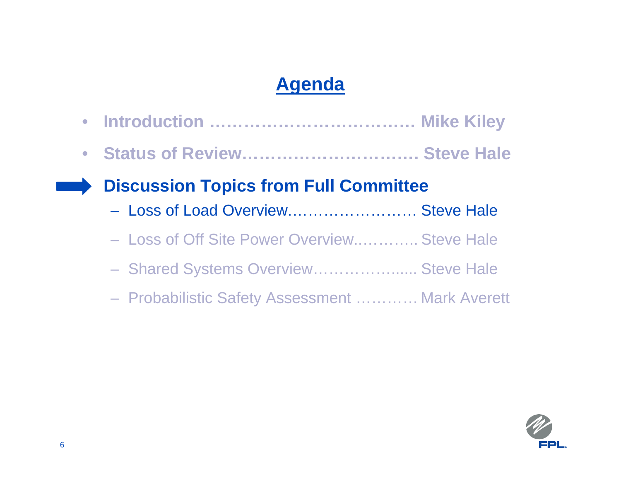## **Agenda**

 $\bullet$  **Introduction ……………………………… Mike Kiley**  $\bullet$  **Status of Review…………………………. Steve Hale Discussion Topics from Full Committee** – Loss of Load Overview.…………………… Steve Hale – Loss of Off Site Power Overview..……….. Steve Hale Shared Systems Overview....................... Steve Hale Probabilistic Safety Assessment ………… Mark Averett

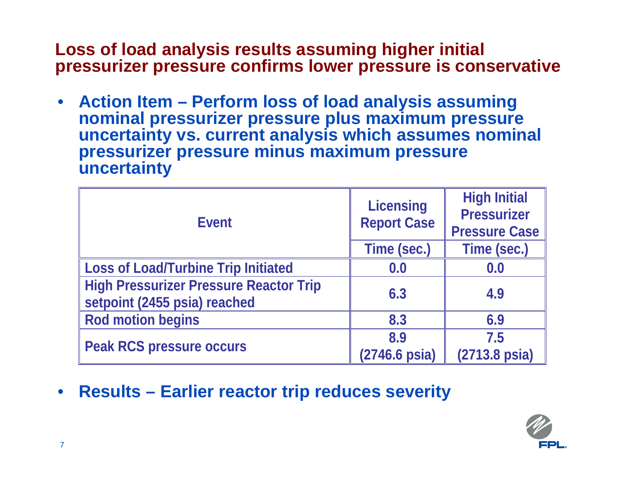#### **Loss of load analysis results assuming higher initial pressurizer pressure confirms lower pressure is conservative**

• **Action Item – Perform loss of load analysis assuming nominal pressurizer pressure plus maximum pressure uncertainty vs. current analysis which assumes nominal pressurizer pressure minus maximum pressure uncertainty**

| <b>Event</b>                                                                  | <b>Licensing</b><br><b>Report Case</b> | <b>High Initial</b><br><b>Pressurizer</b><br><b>Pressure Case</b> |
|-------------------------------------------------------------------------------|----------------------------------------|-------------------------------------------------------------------|
|                                                                               | Time (sec.)                            | Time (sec.)                                                       |
| <b>Loss of Load/Turbine Trip Initiated</b>                                    | 0.0                                    | 0.0                                                               |
| <b>High Pressurizer Pressure Reactor Trip</b><br>setpoint (2455 psia) reached | 6.3                                    | 4.9                                                               |
| <b>Rod motion begins</b>                                                      | 8.3                                    | 6.9                                                               |
| <b>Peak RCS pressure occurs</b>                                               | 8.9<br>(2746.6 psia)                   | 7.5<br>(2713.8 psia)                                              |

• **Results – Earlier reactor trip reduces severity**

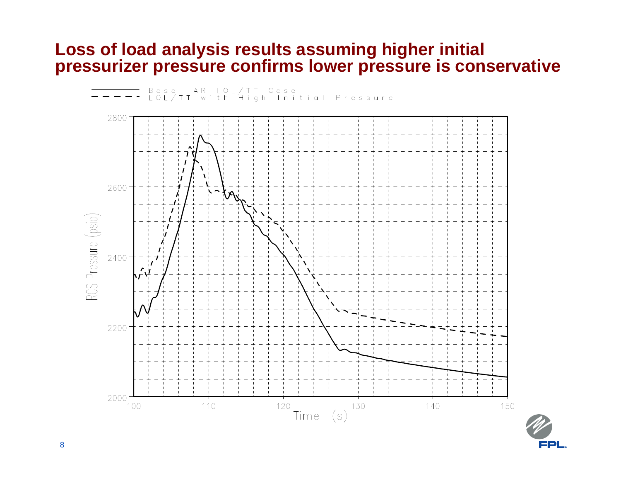#### **Loss of load analysis results assuming higher initial pressurizer pressure confirms lower pressure is conservative**



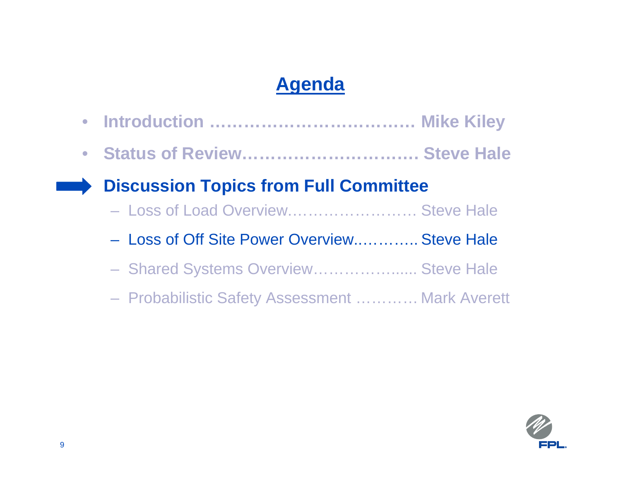## **Agenda**

 $\bullet$  **Introduction ……………………………… Mike Kiley**  $\bullet$  **Status of Review…………………………. Steve Hale Discussion Topics from Full Committee** – Loss of Load Overview.…………………… Steve Hale– Loss of Off Site Power Overview..……….. Steve Hale Shared Systems Overview....................... Steve Hale Probabilistic Safety Assessment ………… Mark Averett

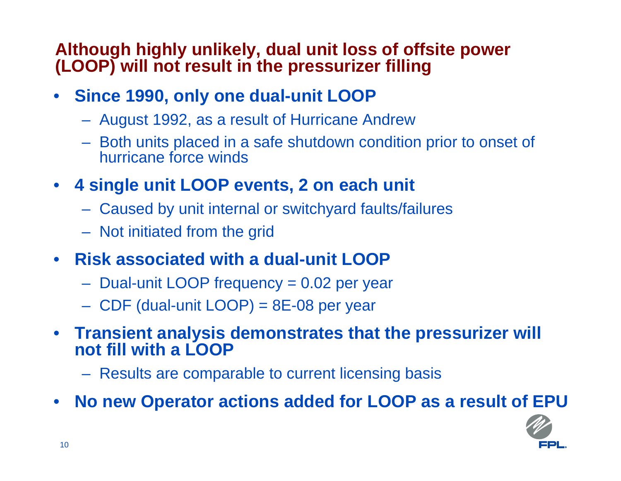#### **Although highly unlikely, dual unit loss of offsite power (LOOP) will not result in the pressurizer filling**

- $\bullet$  **Since 1990, only one dual-unit LOOP**
	- August 1992, as a result of Hurricane Andrew
	- Both units placed in a safe shutdown condition prior to onset of hurricane force winds
- **4 single unit LOOP events, 2 on each unit**
	- Caused by unit internal or switchyard faults/failures
	- Not initiated from the grid
- **Risk associated with a dual-unit LOOP**
	- Dual-unit LOOP frequency = 0.02 per year
	- CDF (dual-unit LOOP) = 8E-08 per year
- $\bullet$  **Transient analysis demonstrates that the pressurizer will not fill with a LOOP**
	- Results are comparable to current licensing basis
- $\bullet$ **No new Operator actions added for LOOP as a result of EPU**

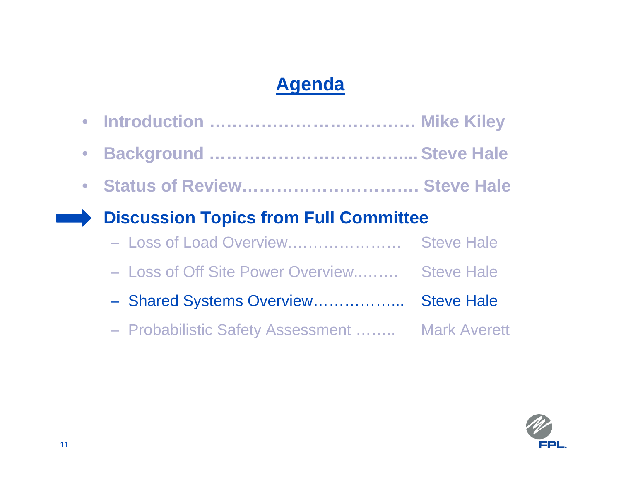# **Agenda**

|           | • Introduction  Mike Kiley                      |                   |
|-----------|-------------------------------------------------|-------------------|
| $\bullet$ |                                                 |                   |
|           | • Status of Review Steve Hale                   |                   |
|           | <b>Discussion Topics from Full Committee</b>    |                   |
|           | - Loss of Load Overview                         | <b>Steve Hale</b> |
|           | - Loss of Off Site Power Overview               | <b>Steve Hale</b> |
|           | - Shared Systems Overview                       | <b>Steve Hale</b> |
|           | - Probabilistic Safety Assessment  Mark Averett |                   |

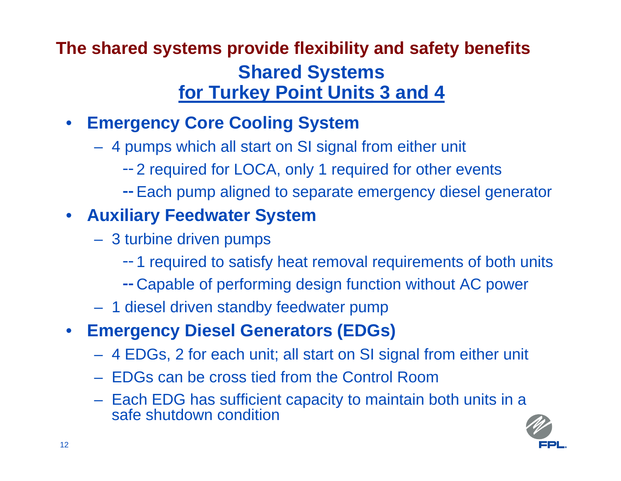### **Shared Systems for Turkey Point Units 3 and 4 The shared systems provide flexibility and safety benefits**

#### $\bullet$ **Emergency Core Cooling System**

- 4 pumps which all start on SI signal from either unit
	- 2 required for LOCA, only 1 required for other events
	- -- Each pump aligned to separate emergency diesel generator

#### • **Auxiliary Feedwater System**

- 3 turbine driven pumps
	- 1 required to satisfy heat removal requirements of both units
	- Capable of performing design function without AC power
- 1 diesel driven standby feedwater pump
- **Emergency Diesel Generators (EDGs)**
	- 4 EDGs, 2 for each unit; all start on SI signal from either unit
	- EDGs can be cross tied from the Control Room
	- Each EDG has sufficient capacity to maintain both units in a safe shutdown condition

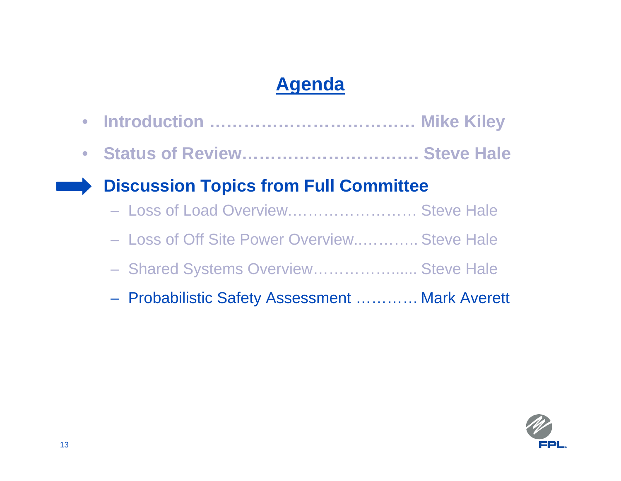## **Agenda**

 $\bullet$  **Introduction ……………………………… Mike Kiley**  $\bullet$  **Status of Review…………………………. Steve Hale Discussion Topics from Full Committee** – Loss of Load Overview.…………………… Steve Hale– Loss of Off Site Power Overview..……….. Steve Hale Shared Systems Overview....................... Steve Hale Probabilistic Safety Assessment ………… Mark Averett

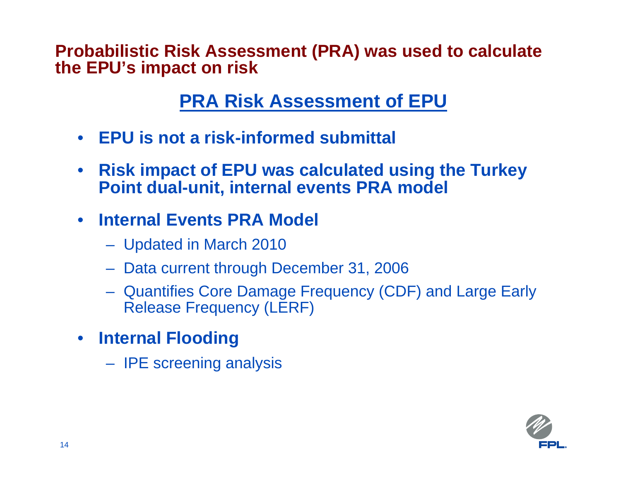**Probabilistic Risk Assessment (PRA) was used to calculate the EPU's impact on risk**

#### **PRA Risk Assessment of EPU**

- **EPU is not a risk-informed submittal**
- $\bullet$  **Risk impact of EPU was calculated using the Turkey Point dual-unit, internal events PRA model**

#### $\bullet$ **Internal Events PRA Model**

- Updated in March 2010
- Data current through December 31, 2006
- Quantifies Core Damage Frequency (CDF) and Large Early Release Frequency (LERF)
- **Internal Flooding**
	- IPE screening analysis

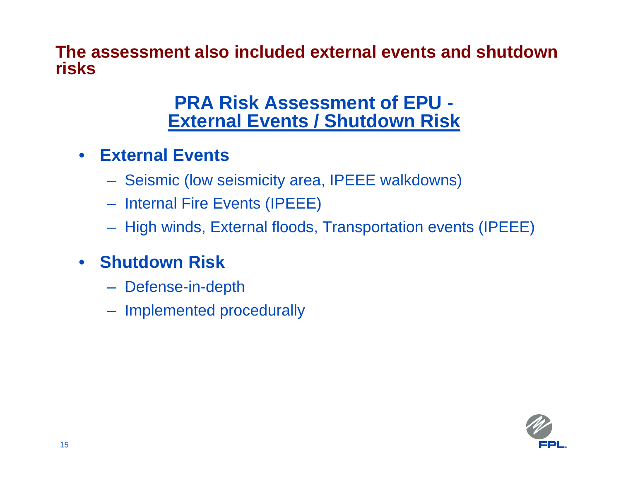**The assessment also included external events and shutdown risks**

#### **PRA Risk Assessment of EPU - External Events / Shutdown Risk**

- **External Events**
	- Seismic (low seismicity area, IPEEE walkdowns)
	- Internal Fire Events (IPEEE)
	- High winds, External floods, Transportation events (IPEEE)
- **Shutdown Risk**
	- Defense-in-depth
	- Implemented procedurally

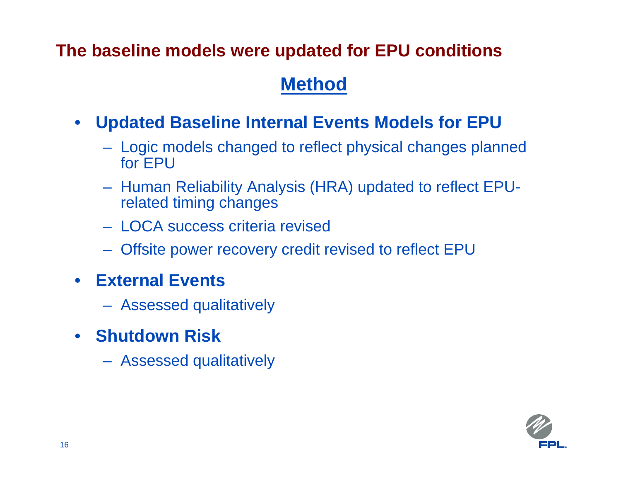#### **The baseline models were updated for EPU conditions**

#### **Method**

- $\bullet$  **Updated Baseline Internal Events Models for EPU**
	- Logic models changed to reflect physical changes planned for EPU
	- Human Reliability Analysis (HRA) updated to reflect EPUrelated timing changes
	- LOCA success criteria revised
	- Offsite power recovery credit revised to reflect EPU
- $\bullet$  **External Events**
	- Assessed qualitatively
- **Shutdown Risk**
	- Assessed qualitatively

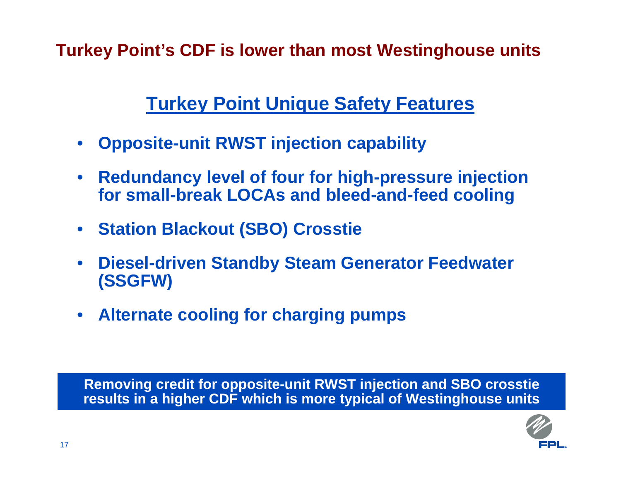**Turkey Point's CDF is lower than most Westinghouse units**

### **Turkey Point Unique Safety Features**

- $\bullet$ **Opposite-unit RWST injection capability**
- $\bullet$  **Redundancy level of four for high-pressure injection for small-break LOCAs and bleed-and-feed cooling**
- •**Station Blackout (SBO) Crosstie**
- $\bullet$  **Diesel-driven Standby Steam Generator Feedwater (SSGFW)**
- **Alternate cooling for charging pumps**

**Removing credit for opposite-unit RWST injection and SBO crosstie results in a higher CDF which is more typical of Westinghouse units**

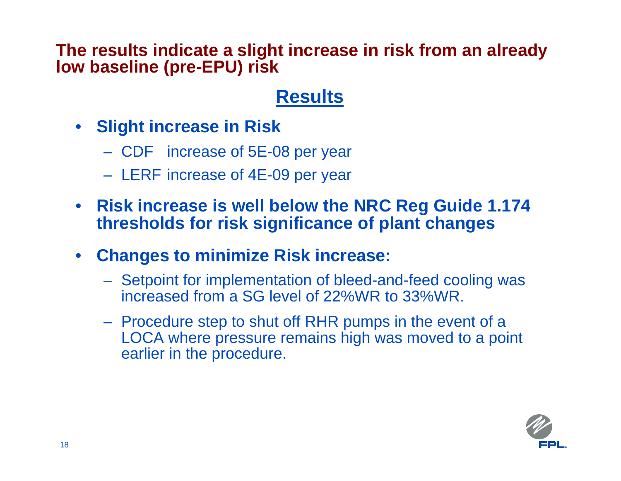#### **The results indicate a slight increase in risk from an already low baseline (pre-EPU) risk**

### **Results**

- **Slight increase in Risk**
	- CDF increase of 5E-08 per year
	- LERF increase of 4E-09 per year
- **Risk increase is well below the NRC Reg Guide 1.174 thresholds for risk significance of plant changes**
- $\bullet$  **Changes to minimize Risk increase:**
	- Setpoint for implementation of bleed-and-feed cooling was increased from a SG level of 22%WR to 33%WR.
	- Procedure step to shut off RHR pumps in the event of a LOCA where pressure remains high was moved to a point earlier in the procedure.

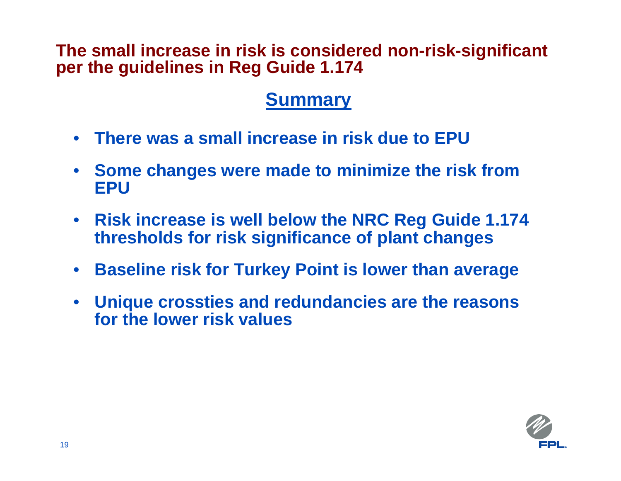#### **The small increase in risk is considered non-risk-significant per the guidelines in Reg Guide 1.174**

#### **Summary**

- **There was a small increase in risk due to EPU**
- **Some changes were made to minimize the risk from EPU**
- **Risk increase is well below the NRC Reg Guide 1.174 thresholds for risk significance of plant changes**
- $\bullet$ **Baseline risk for Turkey Point is lower than average**
- • **Unique crossties and redundancies are the reasons for the lower risk values**

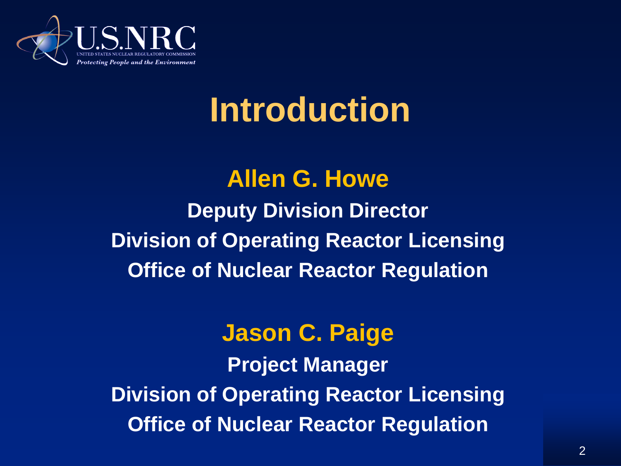

# **Introduction**

### **Allen G. Howe Deputy Division Director Division of Operating Reactor Licensing Office of Nuclear Reactor Regulation**

#### **Jason C. Paige**

**Project Manager Division of Operating Reactor Licensing Office of Nuclear Reactor Regulation**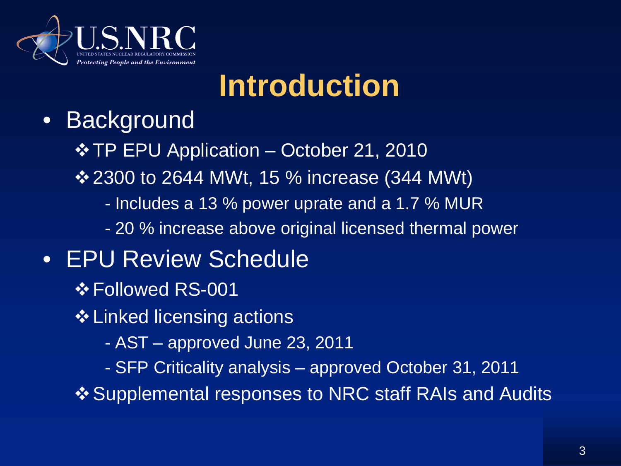

# **Introduction**

### • Background

 $\div$  **TP EPU Application – October 21, 2010** 

**<u>❖ 2300 to 2644 MWt, 15 % increase (344 MWt)</u>** 

- Includes a 13 % power uprate and a 1.7 % MUR
- 20 % increase above original licensed thermal power

### • EPU Review Schedule

- Followed RS-001
- **❖ Linked licensing actions** 
	- AST approved June 23, 2011
	- SFP Criticality analysis approved October 31, 2011

❖ Supplemental responses to NRC staff RAIs and Audits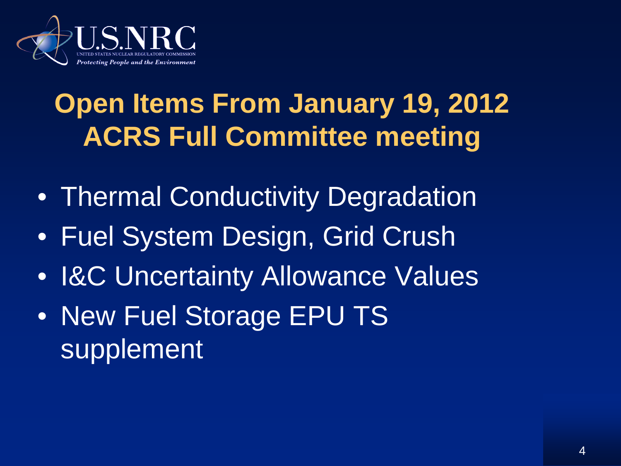

# **Open Items From January 19, 2012 ACRS Full Committee meeting**

- Thermal Conductivity Degradation
- Fuel System Design, Grid Crush
- I&C Uncertainty Allowance Values
- New Fuel Storage EPU TS supplement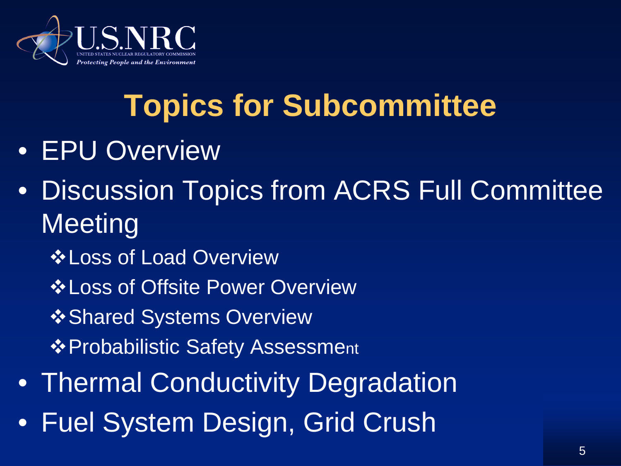

# **Topics for Subcommittee**

- EPU Overview
- Discussion Topics from ACRS Full Committee **Meeting** 
	- Loss of Load Overview
	- Loss of Offsite Power Overview
	- **\*Shared Systems Overview**
	- ❖ Probabilistic Safety Assessment
- Thermal Conductivity Degradation
- Fuel System Design, Grid Crush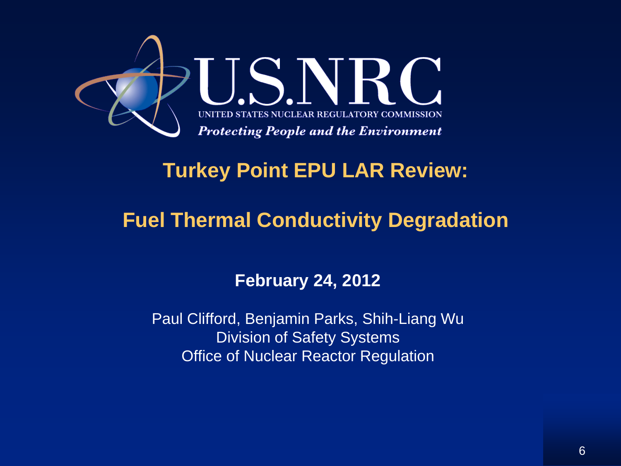

#### **Turkey Point EPU LAR Review:**

#### **Fuel Thermal Conductivity Degradation**

#### **February 24, 2012**

Paul Clifford, Benjamin Parks, Shih-Liang Wu Division of Safety Systems Office of Nuclear Reactor Regulation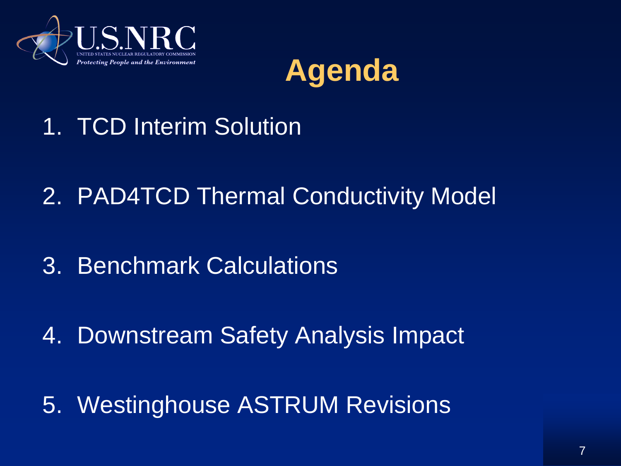



- 1. TCD Interim Solution
- 2. PAD4TCD Thermal Conductivity Model
- 3. Benchmark Calculations
- 4. Downstream Safety Analysis Impact
- 5. Westinghouse ASTRUM Revisions